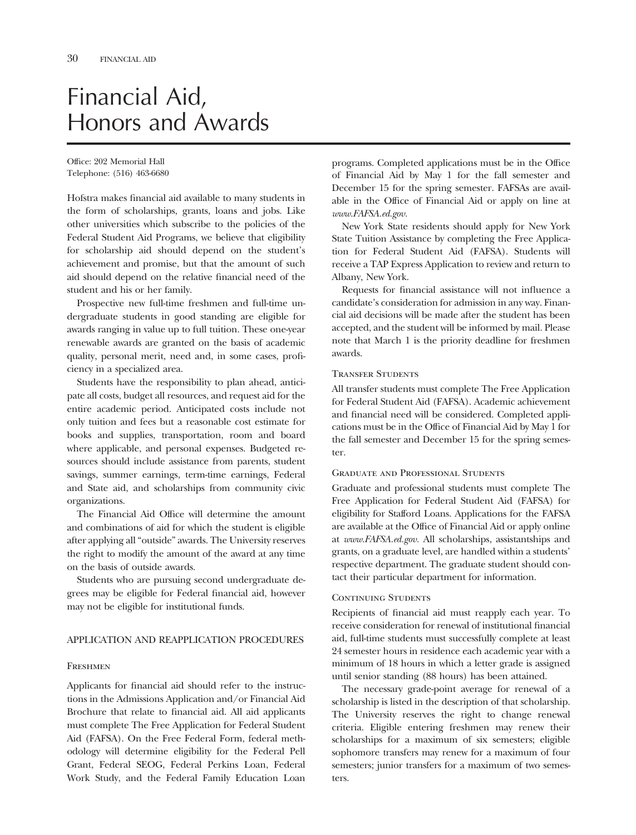# Financial Aid, Honors and Awards

Office: 202 Memorial Hall Telephone: (516) 463-6680

Hofstra makes fnancial aid available to many students in the form of scholarships, grants, loans and jobs. Like other universities which subscribe to the policies of the Federal Student Aid Programs, we believe that eligibility for scholarship aid should depend on the student's achievement and promise, but that the amount of such aid should depend on the relative fnancial need of the student and his or her family.

Prospective new full-time freshmen and full-time undergraduate students in good standing are eligible for awards ranging in value up to full tuition. These one-year renewable awards are granted on the basis of academic quality, personal merit, need and, in some cases, profciency in a specialized area.

Students have the responsibility to plan ahead, anticipate all costs, budget all resources, and request aid for the entire academic period. Anticipated costs include not only tuition and fees but a reasonable cost estimate for books and supplies, transportation, room and board where applicable, and personal expenses. Budgeted resources should include assistance from parents, student savings, summer earnings, term-time earnings, Federal and State aid, and scholarships from community civic organizations.

The Financial Aid Office will determine the amount and combinations of aid for which the student is eligible after applying all "outside" awards. The University reserves the right to modify the amount of the award at any time on the basis of outside awards.

Students who are pursuing second undergraduate degrees may be eligible for Federal fnancial aid, however may not be eligible for institutional funds.

#### APPLICATION AND REAPPLICATION PROCEDURES

#### **FRESHMEN**

Applicants for fnancial aid should refer to the instructions in the Admissions Application and/or Financial Aid Brochure that relate to fnancial aid. All aid applicants must complete The Free Application for Federal Student Aid (FAFSA). On the Free Federal Form, federal methodology will determine eligibility for the Federal Pell Grant, Federal SEOG, Federal Perkins Loan, Federal Work Study, and the Federal Family Education Loan

programs. Completed applications must be in the Office of Financial Aid by May 1 for the fall semester and December 15 for the spring semester. FAFSAs are available in the Offce of Financial Aid or apply on line at *www.FAFSA.ed.gov.* 

New York State residents should apply for New York State Tuition Assistance by completing the Free Application for Federal Student Aid (FAFSA). Students will receive a TAP Express Application to review and return to Albany, New York.

Requests for fnancial assistance will not infuence a candidate's consideration for admission in any way. Financial aid decisions will be made after the student has been accepted, and the student will be informed by mail. Please note that March 1 is the priority deadline for freshmen awards.

#### Transfer Students

All transfer students must complete The Free Application for Federal Student Aid (FAFSA). Academic achievement and fnancial need will be considered. Completed applications must be in the Office of Financial Aid by May 1 for the fall semester and December 15 for the spring semester.

#### Graduate and Professional Students

Graduate and professional students must complete The Free Application for Federal Student Aid (FAFSA) for eligibility for Stafford Loans. Applications for the FAFSA are available at the Offce of Financial Aid or apply online at *www.FAFSA.ed.gov.* All scholarships, assistantships and grants, on a graduate level, are handled within a students' respective department. The graduate student should contact their particular department for information.

#### Continuing Students

Recipients of fnancial aid must reapply each year. To receive consideration for renewal of institutional fnancial aid, full-time students must successfully complete at least 24 semester hours in residence each academic year with a minimum of 18 hours in which a letter grade is assigned until senior standing (88 hours) has been attained.

The necessary grade-point average for renewal of a scholarship is listed in the description of that scholarship. The University reserves the right to change renewal criteria. Eligible entering freshmen may renew their scholarships for a maximum of six semesters; eligible sophomore transfers may renew for a maximum of four semesters; junior transfers for a maximum of two semesters.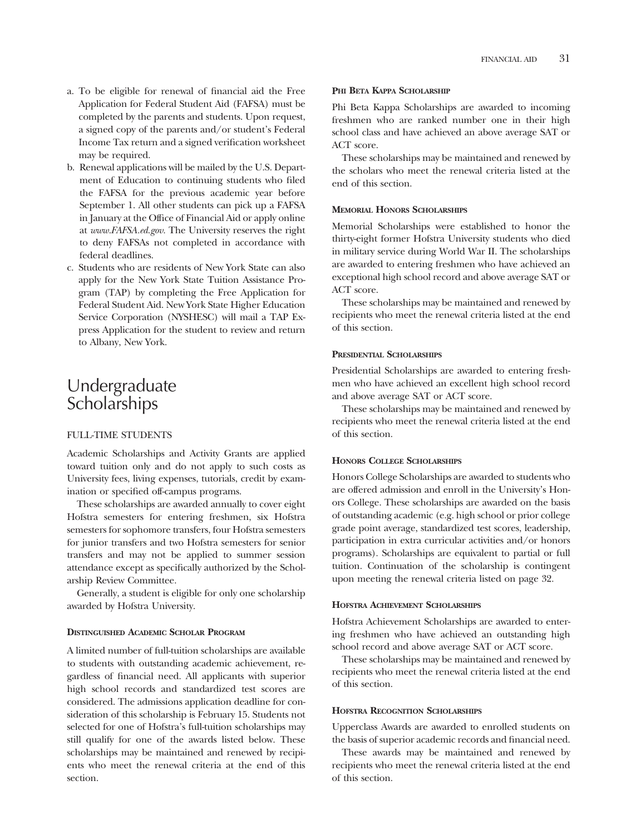- a. To be eligible for renewal of fnancial aid the Free Application for Federal Student Aid (FAFSA) must be completed by the parents and students. Upon request, a signed copy of the parents and/or student's Federal Income Tax return and a signed verifcation worksheet may be required.
- b. Renewal applications will be mailed by the U.S. Department of Education to continuing students who fled the FAFSA for the previous academic year before September 1. All other students can pick up a FAFSA in January at the Offce of Financial Aid or apply online at *www.FAFSA.ed.gov.* The University reserves the right to deny FAFSAs not completed in accordance with federal deadlines.
- c. Students who are residents of New York State can also apply for the New York State Tuition Assistance Program (TAP) by completing the Free Application for Federal Student Aid. New York State Higher Education Service Corporation (NYSHESC) will mail a TAP Express Application for the student to review and return to Albany, New York.

## Undergraduate **Scholarships**

#### FULL-TIME STUDENTS

Academic Scholarships and Activity Grants are applied toward tuition only and do not apply to such costs as University fees, living expenses, tutorials, credit by examination or specifed off-campus programs.

These scholarships are awarded annually to cover eight Hofstra semesters for entering freshmen, six Hofstra semesters for sophomore transfers, four Hofstra semesters for junior transfers and two Hofstra semesters for senior transfers and may not be applied to summer session attendance except as specifcally authorized by the Scholarship Review Committee.

Generally, a student is eligible for only one scholarship awarded by Hofstra University.

#### **DISTINGUISHED ACADEMIC SCHOLAR PROGRAM**

A limited number of full-tuition scholarships are available to students with outstanding academic achievement, regardless of fnancial need. All applicants with superior high school records and standardized test scores are considered. The admissions application deadline for consideration of this scholarship is February 15. Students not selected for one of Hofstra's full-tuition scholarships may still qualify for one of the awards listed below. These scholarships may be maintained and renewed by recipients who meet the renewal criteria at the end of this section.

#### **PHI BETA KAPPA SCHOLARSHIP**

Phi Beta Kappa Scholarships are awarded to incoming freshmen who are ranked number one in their high school class and have achieved an above average SAT or ACT score.

These scholarships may be maintained and renewed by the scholars who meet the renewal criteria listed at the end of this section.

#### **MEMORIAL HONORS SCHOLARSHIPS**

Memorial Scholarships were established to honor the thirty-eight former Hofstra University students who died in military service during World War II. The scholarships are awarded to entering freshmen who have achieved an exceptional high school record and above average SAT or ACT score.

These scholarships may be maintained and renewed by recipients who meet the renewal criteria listed at the end of this section.

#### **PRESIDENTIAL SCHOLARSHIPS**

Presidential Scholarships are awarded to entering freshmen who have achieved an excellent high school record and above average SAT or ACT score.

These scholarships may be maintained and renewed by recipients who meet the renewal criteria listed at the end of this section.

#### **HONORS COLLEGE SCHOLARSHIPS**

Honors College Scholarships are awarded to students who are offered admission and enroll in the University's Honors College. These scholarships are awarded on the basis of outstanding academic (e.g. high school or prior college grade point average, standardized test scores, leadership, participation in extra curricular activities and/or honors programs). Scholarships are equivalent to partial or full tuition. Continuation of the scholarship is contingent upon meeting the renewal criteria listed on page 32.

#### **HOFSTRA ACHIEVEMENT SCHOLARSHIPS**

Hofstra Achievement Scholarships are awarded to entering freshmen who have achieved an outstanding high school record and above average SAT or ACT score.

These scholarships may be maintained and renewed by recipients who meet the renewal criteria listed at the end of this section.

#### **HOFSTRA RECOGNITION SCHOLARSHIPS**

Upperclass Awards are awarded to enrolled students on the basis of superior academic records and fnancial need.

These awards may be maintained and renewed by recipients who meet the renewal criteria listed at the end of this section.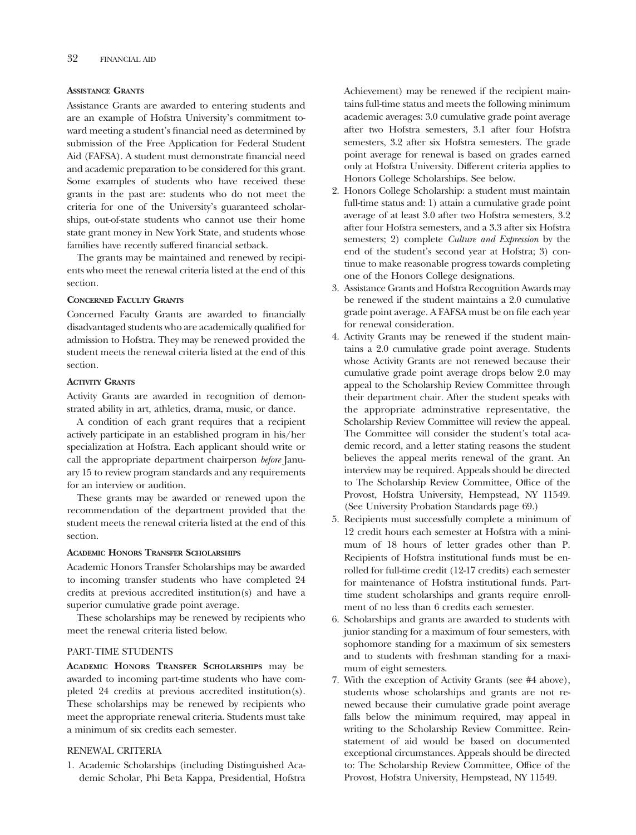#### **ASSISTANCE GRANTS**

Assistance Grants are awarded to entering students and are an example of Hofstra University's commitment toward meeting a student's fnancial need as determined by submission of the Free Application for Federal Student Aid (FAFSA). A student must demonstrate fnancial need and academic preparation to be considered for this grant. Some examples of students who have received these grants in the past are: students who do not meet the criteria for one of the University's guaranteed scholarships, out-of-state students who cannot use their home state grant money in New York State, and students whose families have recently suffered fnancial setback.

The grants may be maintained and renewed by recipients who meet the renewal criteria listed at the end of this section.

#### **CONCERNED FACULTY GRANTS**

Concerned Faculty Grants are awarded to fnancially disadvantaged students who are academically qualifed for admission to Hofstra. They may be renewed provided the student meets the renewal criteria listed at the end of this section.

#### **ACTIVITY GRANTS**

Activity Grants are awarded in recognition of demonstrated ability in art, athletics, drama, music, or dance.

A condition of each grant requires that a recipient actively participate in an established program in his/her specialization at Hofstra. Each applicant should write or call the appropriate department chairperson *before* January 15 to review program standards and any requirements for an interview or audition.

These grants may be awarded or renewed upon the recommendation of the department provided that the student meets the renewal criteria listed at the end of this section.

#### **ACADEMIC HONORS TRANSFER SCHOLARSHIPS**

Academic Honors Transfer Scholarships may be awarded to incoming transfer students who have completed 24 credits at previous accredited institution(s) and have a superior cumulative grade point average.

These scholarships may be renewed by recipients who meet the renewal criteria listed below.

#### PART-TIME STUDENTS

**ACADEMIC HONORS TRANSFER SCHOLARSHIPS** may be awarded to incoming part-time students who have completed 24 credits at previous accredited institution(s). These scholarships may be renewed by recipients who meet the appropriate renewal criteria. Students must take a minimum of six credits each semester.

#### RENEWAL CRITERIA

1. Academic Scholarships (including Distinguished Academic Scholar, Phi Beta Kappa, Presidential, Hofstra

Achievement) may be renewed if the recipient maintains full-time status and meets the following minimum academic averages: 3.0 cumulative grade point average after two Hofstra semesters, 3.1 after four Hofstra semesters, 3.2 after six Hofstra semesters. The grade point average for renewal is based on grades earned only at Hofstra University. Different criteria applies to Honors College Scholarships. See below.

- 2. Honors College Scholarship: a student must maintain full-time status and: 1) attain a cumulative grade point average of at least 3.0 after two Hofstra semesters, 3.2 after four Hofstra semesters, and a 3.3 after six Hofstra semesters; 2) complete *Culture and Expression* by the end of the student's second year at Hofstra; 3) continue to make reasonable progress towards completing one of the Honors College designations.
- 3. Assistance Grants and Hofstra Recognition Awards may be renewed if the student maintains a 2.0 cumulative grade point average. A FAFSA must be on fle each year for renewal consideration.
- 4. Activity Grants may be renewed if the student maintains a 2.0 cumulative grade point average. Students whose Activity Grants are not renewed because their cumulative grade point average drops below 2.0 may appeal to the Scholarship Review Committee through their department chair. After the student speaks with the appropriate adminstrative representative, the Scholarship Review Committee will review the appeal. The Committee will consider the student's total academic record, and a letter stating reasons the student believes the appeal merits renewal of the grant. An interview may be required. Appeals should be directed to The Scholarship Review Committee, Office of the Provost, Hofstra University, Hempstead, NY 11549. (See University Probation Standards page 69.)
- 5. Recipients must successfully complete a minimum of 12 credit hours each semester at Hofstra with a minimum of 18 hours of letter grades other than P. Recipients of Hofstra institutional funds must be enrolled for full-time credit (12-17 credits) each semester for maintenance of Hofstra institutional funds. Parttime student scholarships and grants require enrollment of no less than 6 credits each semester.
- 6. Scholarships and grants are awarded to students with junior standing for a maximum of four semesters, with sophomore standing for a maximum of six semesters and to students with freshman standing for a maximum of eight semesters.
- 7. With the exception of Activity Grants (see #4 above), students whose scholarships and grants are not renewed because their cumulative grade point average falls below the minimum required, may appeal in writing to the Scholarship Review Committee. Reinstatement of aid would be based on documented exceptional circumstances. Appeals should be directed to: The Scholarship Review Committee, Office of the Provost, Hofstra University, Hempstead, NY 11549.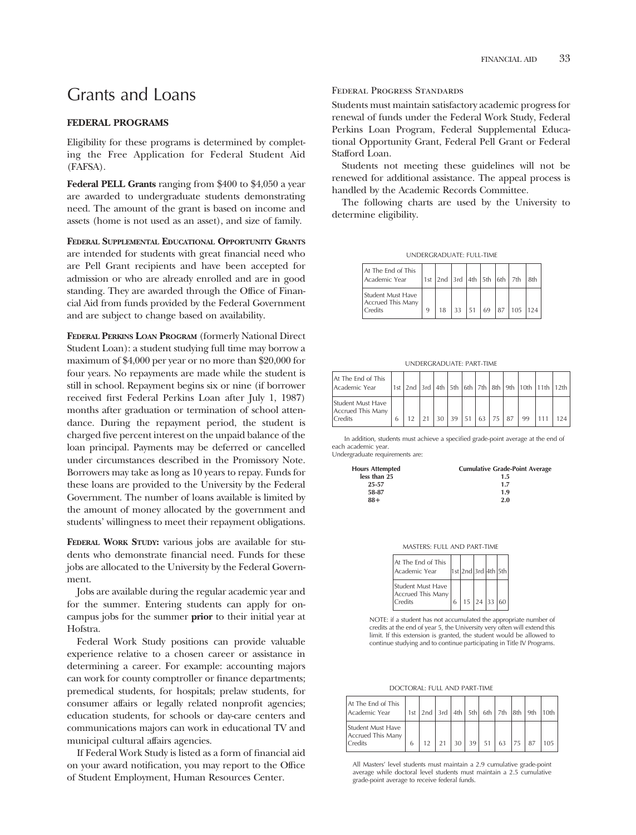### Grants and Loans

#### **FEDERAL PROGRAMS**

Eligibility for these programs is determined by completing the Free Application for Federal Student Aid (FAFSA).

**Federal PELL Grants** ranging from \$400 to \$4,050 a year are awarded to undergraduate students demonstrating need. The amount of the grant is based on income and assets (home is not used as an asset), and size of family.

**FEDERAL SUPPLEMENTAL EDUCATIONAL OPPORTUNITY GRANTS**  are intended for students with great fnancial need who are Pell Grant recipients and have been accepted for admission or who are already enrolled and are in good standing. They are awarded through the Office of Financial Aid from funds provided by the Federal Government and are subject to change based on availability.

**FEDERAL PERKINS LOAN PROGRAM** (formerly National Direct Student Loan): a student studying full time may borrow a maximum of \$4,000 per year or no more than \$20,000 for four years. No repayments are made while the student is still in school. Repayment begins six or nine (if borrower received frst Federal Perkins Loan after July 1, 1987) months after graduation or termination of school attendance. During the repayment period, the student is charged fve percent interest on the unpaid balance of the loan principal. Payments may be deferred or cancelled under circumstances described in the Promissory Note. Borrowers may take as long as 10 years to repay. Funds for these loans are provided to the University by the Federal Government. The number of loans available is limited by the amount of money allocated by the government and students' willingness to meet their repayment obligations.

**FEDERAL WORK STUDY:** various jobs are available for students who demonstrate fnancial need. Funds for these jobs are allocated to the University by the Federal Government.

Jobs are available during the regular academic year and for the summer. Entering students can apply for oncampus jobs for the summer **prior** to their initial year at Hofstra.

Federal Work Study positions can provide valuable experience relative to a chosen career or assistance in determining a career. For example: accounting majors can work for county comptroller or fnance departments; premedical students, for hospitals; prelaw students, for consumer affairs or legally related nonproft agencies; education students, for schools or day-care centers and communications majors can work in educational TV and municipal cultural affairs agencies.

If Federal Work Study is listed as a form of fnancial aid on your award notification, you may report to the Office of Student Employment, Human Resources Center.

#### Federal Progress Standards

Students must maintain satisfactory academic progress for renewal of funds under the Federal Work Study, Federal Perkins Loan Program, Federal Supplemental Educational Opportunity Grant, Federal Pell Grant or Federal Stafford Loan.

Students not meeting these guidelines will not be renewed for additional assistance. The appeal process is handled by the Academic Records Committee.

The following charts are used by the University to determine eligibility.

UNDERGRADUATE: FULL-TIME

| At The End of This<br>Academic Year               |   |  |  | 1st $2nd$ 3rd $4th$ 5th $6th$ 7th 8th |  |
|---------------------------------------------------|---|--|--|---------------------------------------|--|
| Student Must Have<br>Accrued This Many<br>Credits | 9 |  |  | 33 51 69 87 105 124                   |  |

UNDERGRADUATE: PART-TIME

| At The End of This<br>Academic Year                      |  |                 |    |     |  |    | 1st 2nd 3rd 4th 5th 6th 7th 8th 9th 10th 11th 12th |     |
|----------------------------------------------------------|--|-----------------|----|-----|--|----|----------------------------------------------------|-----|
| Student Must Have<br>Accrued This Many<br><b>Credits</b> |  | 30 <sup>1</sup> | 39 | 151 |  | 99 |                                                    | 124 |

In addition, students must achieve a specified grade-point average at the end of each academic year.

Undergraduate requirements are:

| <b>Cumulative Grade-Point Average</b> |
|---------------------------------------|
| 1.5                                   |
| 1.7                                   |
| 1.9                                   |
| 2.0                                   |
|                                       |

| MASTERS: FULL AND PART-TIME |  |  |  |
|-----------------------------|--|--|--|
|-----------------------------|--|--|--|

| At The End of This<br>Academic Year               | 1st 2nd 3rd 4th 5th               |  |  |
|---------------------------------------------------|-----------------------------------|--|--|
| Student Must Have<br>Accrued This Many<br>Credits | $15 \mid 24 \mid 33 \mid 60 \mid$ |  |  |

NOTE: if a student has not accumulated the appropriate number of credits at the end of year 5, the University very often will extend this limit. If this extension is granted, the student would be allowed to continue studying and to continue participating in Title IV Programs.

DOCTORAL: FULL AND PART-TIME

| At The End of This<br>Academic Year               |   |    |  | 1st 2nd 3rd 4th 5th 6th 7th 8th 9th 10th |     |  |
|---------------------------------------------------|---|----|--|------------------------------------------|-----|--|
| Student Must Have<br>Accrued This Many<br>Credits | 6 | 21 |  | $30$ 39 51 63 75                         | 187 |  |

All Masters' level students must maintain a 2.9 cumulative grade-point average while doctoral level students must maintain a 2.5 cumulative grade-point average to receive federal funds.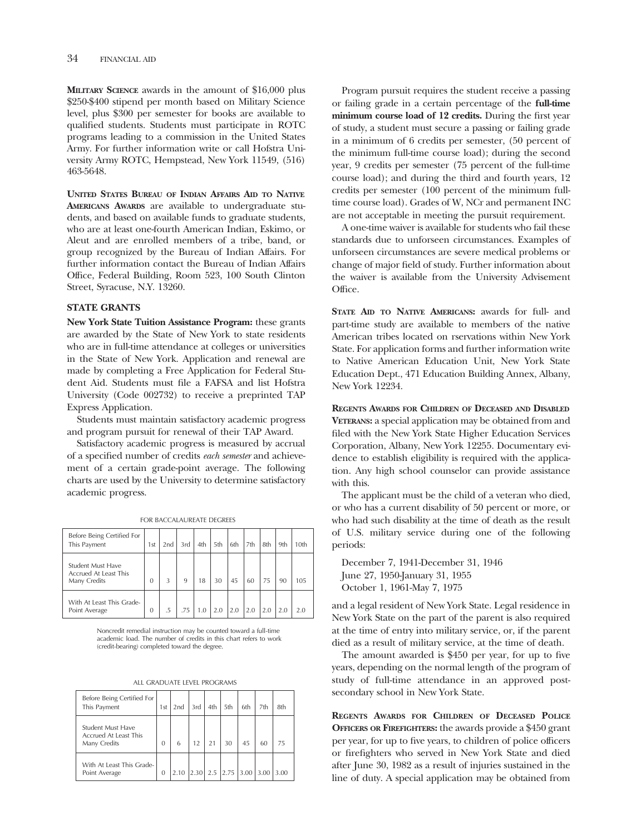**MILITARY SCIENCE** awards in the amount of \$16,000 plus \$250-\$400 stipend per month based on Military Science level, plus \$300 per semester for books are available to qualifed students. Students must participate in ROTC programs leading to a commission in the United States Army. For further information write or call Hofstra University Army ROTC, Hempstead, New York 11549, (516) 463-5648.

**UNITED STATES BUREAU OF INDIAN AFFAIRS AID TO NATIVE AMERICANS AWARDS** are available to undergraduate students, and based on available funds to graduate students, who are at least one-fourth American Indian, Eskimo, or Aleut and are enrolled members of a tribe, band, or group recognized by the Bureau of Indian Affairs. For further information contact the Bureau of Indian Affairs Office, Federal Building, Room 523, 100 South Clinton Street, Syracuse, N.Y. 13260.

#### **STATE GRANTS**

**New York State Tuition Assistance Program:** these grants are awarded by the State of New York to state residents who are in full-time attendance at colleges or universities in the State of New York. Application and renewal are made by completing a Free Application for Federal Student Aid. Students must fle a FAFSA and list Hofstra University (Code 002732) to receive a preprinted TAP Express Application.

Students must maintain satisfactory academic progress and program pursuit for renewal of their TAP Award.

Satisfactory academic progress is measured by accrual of a specifed number of credits *each semester* and achievement of a certain grade-point average. The following charts are used by the University to determine satisfactory academic progress.

FOR BACCALAUREATE DEGREES

| Before Being Certified For<br>This Payment                 | 1st            | 2nd | 3rd | 4th | 5th | 6th | 7th | 8th | 9th | 10th |
|------------------------------------------------------------|----------------|-----|-----|-----|-----|-----|-----|-----|-----|------|
| Student Must Have<br>Accrued At Least This<br>Many Credits | $\Omega$       | 3   | 9   | 18  | 30  | 45  | 60  | 75  | 90  | 105  |
| With At Least This Grade-<br>Point Average                 | $\overline{0}$ | .5  | .75 |     | 2.0 | 2.0 | 2.0 | 2.0 | 2.0 | 20   |

Noncredit remedial instruction may be counted toward a full-time academic load. The number of credits in this chart refers to work (credit-bearing) completed toward the degree.

| Before Being Certified For<br>This Payment                        | 1 <sub>st</sub> | 2nd  | 3rd | 4th | 5th                                                     | 6th | 7th | 8th  |
|-------------------------------------------------------------------|-----------------|------|-----|-----|---------------------------------------------------------|-----|-----|------|
| <b>Student Must Have</b><br>Accrued At Least This<br>Many Credits | $\Omega$        | 6    | 12  |     | 30                                                      | 45  | 60  | 75   |
| With At Least This Grade-<br>Point Average                        | $\mathbf{0}$    | 2.10 |     |     | $\vert 2.30 \vert 2.5 \vert 2.75 \vert 3.00 \vert 3.00$ |     |     | 3.00 |

Program pursuit requires the student receive a passing or failing grade in a certain percentage of the **full-time minimum course load of 12 credits.** During the frst year of study, a student must secure a passing or failing grade in a minimum of 6 credits per semester, (50 percent of the minimum full-time course load); during the second year, 9 credits per semester (75 percent of the full-time course load); and during the third and fourth years, 12 credits per semester (100 percent of the minimum fulltime course load). Grades of W, NCr and permanent INC are not acceptable in meeting the pursuit requirement.

A one-time waiver is available for students who fail these standards due to unforseen circumstances. Examples of unforseen circumstances are severe medical problems or change of major feld of study. Further information about the waiver is available from the University Advisement Office.

**STATE AID TO NATIVE AMERICANS:** awards for full- and part-time study are available to members of the native American tribes located on rservations within New York State. For application forms and further information write to Native American Education Unit, New York State Education Dept., 471 Education Building Annex, Albany, New York 12234.

**REGENTS AWARDS FOR CHILDREN OF DECEASED AND DISABLED VETERANS:** a special application may be obtained from and fled with the New York State Higher Education Services Corporation, Albany, New York 12255. Documentary evidence to establish eligibility is required with the application. Any high school counselor can provide assistance with this.

The applicant must be the child of a veteran who died, or who has a current disability of 50 percent or more, or who had such disability at the time of death as the result of U.S. military service during one of the following periods:

December 7, 1941-December 31, 1946 June 27, 1950-January 31, 1955 October 1, 1961-May 7, 1975

and a legal resident of New York State. Legal residence in New York State on the part of the parent is also required at the time of entry into military service, or, if the parent died as a result of military service, at the time of death.

The amount awarded is \$450 per year, for up to fve years, depending on the normal length of the program of study of full-time attendance in an approved postsecondary school in New York State.

**REGENTS AWARDS FOR CHILDREN OF DECEASED POLICE OFFICERS OR FIREFIGHTERS:** the awards provide a \$450 grant per year, for up to five years, to children of police officers or frefghters who served in New York State and died after June 30, 1982 as a result of injuries sustained in the line of duty. A special application may be obtained from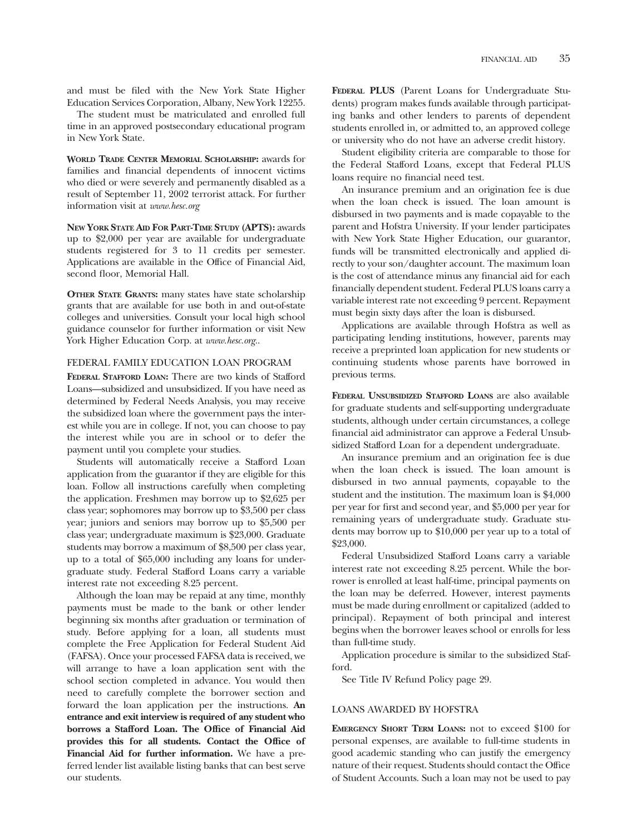and must be fled with the New York State Higher Education Services Corporation, Albany, New York 12255.

The student must be matriculated and enrolled full time in an approved postsecondary educational program in New York State.

WORLD TRADE CENTER MEMORIAL SCHOLARSHIP: awards for families and fnancial dependents of innocent victims who died or were severely and permanently disabled as a result of September 11, 2002 terrorist attack. For further information visit at *www.hesc.org* 

**NEW YORK STATE AID FOR PART-TIME STUDY (APTS):** awards up to \$2,000 per year are available for undergraduate students registered for 3 to 11 credits per semester. Applications are available in the Office of Financial Aid, second floor, Memorial Hall.

**OTHER STATE GRANTS:** many states have state scholarship grants that are available for use both in and out-of-state colleges and universities. Consult your local high school guidance counselor for further information or visit New York Higher Education Corp. at *www.hesc.org.*.

#### FEDERAL FAMILY EDUCATION LOAN PROGRAM

**FEDERAL STAFFORD LOAN:** There are two kinds of Stafford Loans—subsidized and unsubsidized. If you have need as determined by Federal Needs Analysis, you may receive the subsidized loan where the government pays the interest while you are in college. If not, you can choose to pay the interest while you are in school or to defer the payment until you complete your studies.

Students will automatically receive a Stafford Loan application from the guarantor if they are eligible for this loan. Follow all instructions carefully when completing the application. Freshmen may borrow up to \$2,625 per class year; sophomores may borrow up to \$3,500 per class year; juniors and seniors may borrow up to \$5,500 per class year; undergraduate maximum is \$23,000. Graduate students may borrow a maximum of \$8,500 per class year, up to a total of \$65,000 including any loans for undergraduate study. Federal Stafford Loans carry a variable interest rate not exceeding 8.25 percent.

Although the loan may be repaid at any time, monthly payments must be made to the bank or other lender beginning six months after graduation or termination of study. Before applying for a loan, all students must complete the Free Application for Federal Student Aid (FAFSA). Once your processed FAFSA data is received, we will arrange to have a loan application sent with the school section completed in advance. You would then need to carefully complete the borrower section and forward the loan application per the instructions. **An entrance and exit interview is required of any student who borrows a Stafford Loan. The Office of Financial Aid provides this for all students. Contact the Office of Financial Aid for further information.** We have a preferred lender list available listing banks that can best serve our students.

**FEDERAL PLUS** (Parent Loans for Undergraduate Students) program makes funds available through participating banks and other lenders to parents of dependent students enrolled in, or admitted to, an approved college or university who do not have an adverse credit history.

Student eligibility criteria are comparable to those for the Federal Stafford Loans, except that Federal PLUS loans require no fnancial need test.

An insurance premium and an origination fee is due when the loan check is issued. The loan amount is disbursed in two payments and is made copayable to the parent and Hofstra University. If your lender participates with New York State Higher Education, our guarantor, funds will be transmitted electronically and applied directly to your son/daughter account. The maximum loan is the cost of attendance minus any fnancial aid for each fnancially dependent student. Federal PLUS loans carry a variable interest rate not exceeding 9 percent. Repayment must begin sixty days after the loan is disbursed.

Applications are available through Hofstra as well as participating lending institutions, however, parents may receive a preprinted loan application for new students or continuing students whose parents have borrowed in previous terms.

**FEDERAL UNSUBSIDIZED STAFFORD LOANS** are also available for graduate students and self-supporting undergraduate students, although under certain circumstances, a college fnancial aid administrator can approve a Federal Unsubsidized Stafford Loan for a dependent undergraduate.

An insurance premium and an origination fee is due when the loan check is issued. The loan amount is disbursed in two annual payments, copayable to the student and the institution. The maximum loan is \$4,000 per year for frst and second year, and \$5,000 per year for remaining years of undergraduate study. Graduate students may borrow up to \$10,000 per year up to a total of \$23,000.

Federal Unsubsidized Stafford Loans carry a variable interest rate not exceeding 8.25 percent. While the borrower is enrolled at least half-time, principal payments on the loan may be deferred. However, interest payments must be made during enrollment or capitalized (added to principal). Repayment of both principal and interest begins when the borrower leaves school or enrolls for less than full-time study.

Application procedure is similar to the subsidized Stafford.

See Title IV Refund Policy page 29.

#### LOANS AWARDED BY HOFSTRA

**EMERGENCY SHORT TERM LOANS:** not to exceed \$100 for personal expenses, are available to full-time students in good academic standing who can justify the emergency nature of their request. Students should contact the Office of Student Accounts. Such a loan may not be used to pay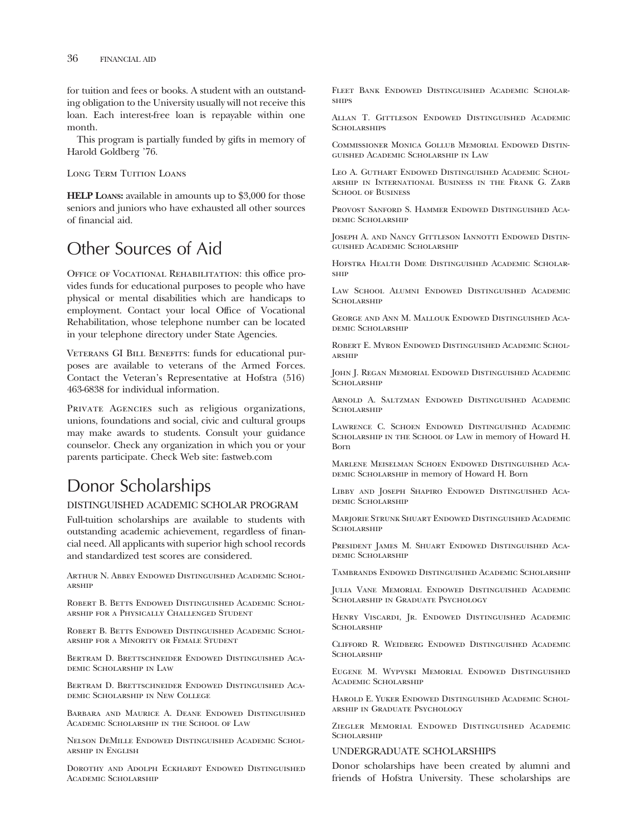for tuition and fees or books. A student with an outstanding obligation to the University usually will not receive this loan. Each interest-free loan is repayable within one month.

This program is partially funded by gifts in memory of Harold Goldberg '76.

Long Term Tuition Loans

**HELP LOANS:** available in amounts up to \$3,000 for those seniors and juniors who have exhausted all other sources of fnancial aid.

# Other Sources of Aid

OFFICE OF VOCATIONAL REHABILITATION: this office provides funds for educational purposes to people who have physical or mental disabilities which are handicaps to employment. Contact your local Office of Vocational Rehabilitation, whose telephone number can be located in your telephone directory under State Agencies.

VETERANS GI BILL BENEFITS: funds for educational purposes are available to veterans of the Armed Forces. Contact the Veteran's Representative at Hofstra (516) 463-6838 for individual information.

PRIVATE AGENCIES such as religious organizations, unions, foundations and social, civic and cultural groups may make awards to students. Consult your guidance counselor. Check any organization in which you or your parents participate. Check Web site: fastweb.com

# Donor Scholarships

#### DISTINGUISHED ACADEMIC SCHOLAR PROGRAM

Full-tuition scholarships are available to students with outstanding academic achievement, regardless of fnancial need. All applicants with superior high school records and standardized test scores are considered.

Arthur N. Abbey Endowed Distinguished Academic Scholarship

Robert B. Betts Endowed Distinguished Academic Scholarship for a Physically Challenged Student

Robert B. Betts Endowed Distinguished Academic Scholarship for a Minority or Female Student

Bertram D. Brettschneider Endowed Distinguished Academic Scholarship in Law

BERTRAM D. BRETTSCHNEIDER ENDOWED DISTINGUISHED ACAdemic Scholarship in New College

Barbara and Maurice A. Deane Endowed Distinguished Academic Scholarship in the School of Law

Nelson DeMille Endowed Distinguished Academic Scholarship in English

Dorothy and Adolph Eckhardt Endowed Distinguished Academic Scholarship

Fleet Bank Endowed Distinguished Academic Scholar-**SHIPS** 

Allan T. Gittleson Endowed Distinguished Academic **SCHOLARSHIPS** 

Commissioner Monica Gollub Memorial Endowed Distinguished Academic Scholarship in Law

Leo A. Guthart Endowed Distinguished Academic Scholarship in International Business in the Frank G. Zarb SCHOOL OF BUSINESS

Provost Sanford S. Hammer Endowed Distinguished Academic Scholarship

JOSEPH A. AND NANCY GITTLESON IANNOTTI ENDOWED DISTINguished Academic Scholarship

Hofstra Health Dome Distinguished Academic Scholarship

Law School Alumni Endowed Distinguished Academic **SCHOLARSHIP** 

George and Ann M. Mallouk Endowed Distinguished Academic Scholarship

Robert E. Myron Endowed Distinguished Academic Scholarship

John J. Regan Memorial Endowed Distinguished Academic SCHOLARSHIP

Arnold A. Saltzman Endowed Distinguished Academic **SCHOLARSHIP** 

Lawrence C. Schoen Endowed Distinguished Academic Scholarship in the School of Law in memory of Howard H. Born

Marlene Meiselman Schoen Endowed Distinguished Aca-DEMIC SCHOLARSHIP in memory of Howard H. Born

Libby and Joseph Shapiro Endowed Distinguished Academic Scholarship

Marjorie Strunk Shuart Endowed Distinguished Academic **SCHOLARSHIP** 

President James M. Shuart Endowed Distinguished Academic Scholarship

Tambrands Endowed Distinguished Academic Scholarship

Julia Vane Memorial Endowed Distinguished Academic Scholarship in Graduate Psychology

Henry Viscardi, Jr. Endowed Distinguished Academic **SCHOLARSHIP** 

Clifford R. Weidberg Endowed Distinguished Academic SCHOLARSHIP

Eugene M. Wypyski Memorial Endowed Distinguished Academic Scholarship

Harold E. Yuker Endowed Distinguished Academic Scholarship in Graduate Psychology

Ziegler Memorial Endowed Distinguished Academic **SCHOLARSHIP** 

#### UNDERGRADUATE SCHOLARSHIPS

Donor scholarships have been created by alumni and friends of Hofstra University. These scholarships are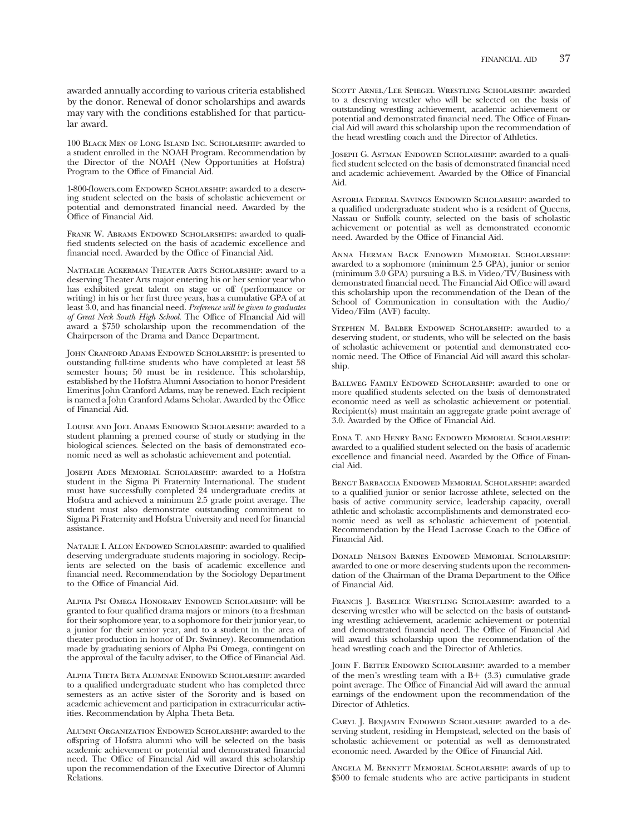100 Black Men of Long Island Inc. Scholarship: awarded to a student enrolled in the NOAH Program. Recommendation by the Director of the NOAH (New Opportunities at Hofstra) Program to the Office of Financial Aid.

1-800-flowers.com ENDOWED SCHOLARSHIP: awarded to a deserving student selected on the basis of scholastic achievement or potential and demonstrated fnancial need. Awarded by the Office of Financial Aid.

Frank W. Abrams Endowed Scholarships: awarded to qualifed students selected on the basis of academic excellence and financial need. Awarded by the Office of Financial Aid.

Nathalie Ackerman Theater Arts Scholarship: award to a deserving Theater Arts major entering his or her senior year who has exhibited great talent on stage or off (performance or writing) in his or her frst three years, has a cumulative GPA of at least 3.0, and has fnancial need. *Preference will be given to graduates of Great Neck South High School.* The Offce of FInancial Aid will award a \$750 scholarship upon the recommendation of the Chairperson of the Drama and Dance Department.

John Cranford Adams Endowed Scholarship: is presented to outstanding full-time students who have completed at least 58 semester hours; 50 must be in residence. This scholarship, established by the Hofstra Alumni Association to honor President Emeritus John Cranford Adams, may be renewed. Each recipient is named a John Cranford Adams Scholar. Awarded by the Office of Financial Aid.

Louise and Joel Adams Endowed Scholarship: awarded to a student planning a premed course of study or studying in the biological sciences. Selected on the basis of demonstrated economic need as well as scholastic achievement and potential.

Joseph Ades Memorial Scholarship: awarded to a Hofstra student in the Sigma Pi Fraternity International. The student must have successfully completed 24 undergraduate credits at Hofstra and achieved a minimum 2.5 grade point average. The student must also demonstrate outstanding commitment to Sigma Pi Fraternity and Hofstra University and need for fnancial assistance.

NATALIE I. ALLON ENDOWED SCHOLARSHIP: awarded to qualified deserving undergraduate students majoring in sociology. Recipients are selected on the basis of academic excellence and fnancial need. Recommendation by the Sociology Department to the Office of Financial Aid.

Alpha Psi Omega Honorary Endowed Scholarship: will be granted to four qualifed drama majors or minors (to a freshman for their sophomore year, to a sophomore for their junior year, to a junior for their senior year, and to a student in the area of theater production in honor of Dr. Swinney). Recommendation made by graduating seniors of Alpha Psi Omega, contingent on the approval of the faculty adviser, to the Office of Financial Aid.

Alpha Theta Beta Alumnae Endowed Scholarship: awarded to a qualifed undergraduate student who has completed three semesters as an active sister of the Sorority and is based on academic achievement and participation in extracurricular activities. Recommendation by Alpha Theta Beta.

Alumni Organization Endowed Scholarship: awarded to the offspring of Hofstra alumni who will be selected on the basis academic achievement or potential and demonstrated fnancial need. The Office of Financial Aid will award this scholarship upon the recommendation of the Executive Director of Alumni Relations.

Scott Arnel/Lee Spiegel Wrestling Scholarship: awarded to a deserving wrestler who will be selected on the basis of outstanding wrestling achievement, academic achievement or potential and demonstrated financial need. The Office of Financial Aid will award this scholarship upon the recommendation of the head wrestling coach and the Director of Athletics.

JOSEPH G. ASTMAN ENDOWED SCHOLARSHIP: awarded to a qualifed student selected on the basis of demonstrated fnancial need and academic achievement. Awarded by the Office of Financial Aid.

Astoria Federal Savings Endowed Scholarship: awarded to a qualifed undergraduate student who is a resident of Queens, Nassau or Suffolk county, selected on the basis of scholastic achievement or potential as well as demonstrated economic need. Awarded by the Office of Financial Aid.

Anna Herman Back Endowed Memorial Scholarship: awarded to a sophomore (minimum 2.5 GPA), junior or senior (minimum 3.0 GPA) pursuing a B.S. in Video/TV/Business with demonstrated financial need. The Financial Aid Office will award this scholarship upon the recommendation of the Dean of the School of Communication in consultation with the Audio/ Video/Film (AVF) faculty.

Stephen M. Balber Endowed Scholarship: awarded to a deserving student, or students, who will be selected on the basis of scholastic achievement or potential and demonstrated economic need. The Office of Financial Aid will award this scholarship.

BALLWEG FAMILY ENDOWED SCHOLARSHIP: awarded to one or more qualifed students selected on the basis of demonstrated economic need as well as scholastic achievement or potential. Recipient(s) must maintain an aggregate grade point average of 3.0. Awarded by the Offce of Financial Aid.

Edna T. and Henry Bang Endowed Memorial Scholarship: awarded to a qualifed student selected on the basis of academic excellence and financial need. Awarded by the Office of Financial Aid.

Bengt Barbaccia Endowed Memorial Scholarship: awarded to a qualifed junior or senior lacrosse athlete, selected on the basis of active community service, leadership capacity, overall athletic and scholastic accomplishments and demonstrated economic need as well as scholastic achievement of potential. Recommendation by the Head Lacrosse Coach to the Office of Financial Aid.

Donald Nelson Barnes Endowed Memorial Scholarship: awarded to one or more deserving students upon the recommendation of the Chairman of the Drama Department to the Office of Financial Aid.

Francis J. Baselice Wrestling Scholarship: awarded to a deserving wrestler who will be selected on the basis of outstanding wrestling achievement, academic achievement or potential and demonstrated financial need. The Office of Financial Aid will award this scholarship upon the recommendation of the head wrestling coach and the Director of Athletics.

JOHN F. BEITER ENDOWED SCHOLARSHIP: awarded to a member of the men's wrestling team with a  $B + (3.3)$  cumulative grade point average. The Office of Financial Aid will award the annual earnings of the endowment upon the recommendation of the Director of Athletics.

Caryl J. Benjamin Endowed Scholarship: awarded to a deserving student, residing in Hempstead, selected on the basis of scholastic achievement or potential as well as demonstrated economic need. Awarded by the Office of Financial Aid.

Angela M. Bennett Memorial Scholarship: awards of up to \$500 to female students who are active participants in student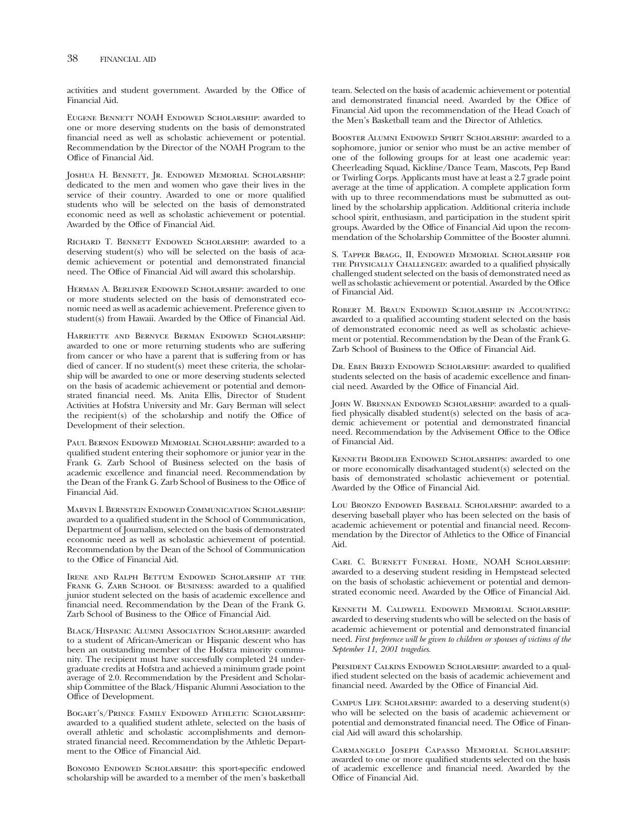activities and student government. Awarded by the Office of Financial Aid.

Eugene Bennett NOAH Endowed Scholarship: awarded to one or more deserving students on the basis of demonstrated fnancial need as well as scholastic achievement or potential. Recommendation by the Director of the NOAH Program to the Office of Financial Aid.

Joshua H. Bennett, Jr. Endowed Memorial Scholarship: dedicated to the men and women who gave their lives in the service of their country. Awarded to one or more qualifed students who will be selected on the basis of demonstrated economic need as well as scholastic achievement or potential. Awarded by the Office of Financial Aid.

Richard T. Bennett Endowed Scholarship: awarded to a deserving student(s) who will be selected on the basis of academic achievement or potential and demonstrated fnancial need. The Office of Financial Aid will award this scholarship.

Herman A. Berliner Endowed Scholarship: awarded to one or more students selected on the basis of demonstrated economic need as well as academic achievement. Preference given to student(s) from Hawaii. Awarded by the Office of Financial Aid.

Harriette and Bernyce Berman Endowed Scholarship: awarded to one or more returning students who are suffering from cancer or who have a parent that is suffering from or has died of cancer. If no student(s) meet these criteria, the scholarship will be awarded to one or more deserving students selected on the basis of academic achievement or potential and demonstrated fnancial need. Ms. Anita Ellis, Director of Student Activities at Hofstra University and Mr. Gary Berman will select the recipient(s) of the scholarship and notify the Office of Development of their selection.

Paul Bernon Endowed Memorial Scholarship: awarded to a qualifed student entering their sophomore or junior year in the Frank G. Zarb School of Business selected on the basis of academic excellence and fnancial need. Recommendation by the Dean of the Frank G. Zarb School of Business to the Office of Financial Aid.

Marvin I. Bernstein Endowed Communication Scholarship: awarded to a qualifed student in the School of Communication, Department of Journalism, selected on the basis of demonstrated economic need as well as scholastic achievement of potential. Recommendation by the Dean of the School of Communication to the Office of Financial Aid.

Irene and Ralph Bettum Endowed Scholarship at the FRANK G. ZARB SCHOOL OF BUSINESS: awarded to a qualified junior student selected on the basis of academic excellence and fnancial need. Recommendation by the Dean of the Frank G. Zarb School of Business to the Office of Financial Aid.

Black/Hispanic Alumni Association Scholarship: awarded to a student of African-American or Hispanic descent who has been an outstanding member of the Hofstra minority community. The recipient must have successfully completed 24 undergraduate credits at Hofstra and achieved a minimum grade point average of 2.0. Recommendation by the President and Scholarship Committee of the Black/Hispanic Alumni Association to the Office of Development.

Bogart's/Prince Family Endowed Athletic Scholarship: awarded to a qualifed student athlete, selected on the basis of overall athletic and scholastic accomplishments and demonstrated fnancial need. Recommendation by the Athletic Department to the Office of Financial Aid.

BONOMO ENDOWED SCHOLARSHIP: this sport-specific endowed scholarship will be awarded to a member of the men's basketball

team. Selected on the basis of academic achievement or potential and demonstrated financial need. Awarded by the Office of Financial Aid upon the recommendation of the Head Coach of the Men's Basketball team and the Director of Athletics.

Booster Alumni Endowed Spirit Scholarship: awarded to a sophomore, junior or senior who must be an active member of one of the following groups for at least one academic year: Cheerleading Squad, Kickline/Dance Team, Mascots, Pep Band or Twirling Corps. Applicants must have at least a 2.7 grade point average at the time of application. A complete application form with up to three recommendations must be submutted as outlined by the scholarship application. Additional criteria include school spirit, enthusiasm, and participation in the student spirit groups. Awarded by the Office of Financial Aid upon the recommendation of the Scholarship Committee of the Booster alumni.

S. Tapper Bragg, II, Endowed Memorial Scholarship for the Physically Challenged: awarded to a qualifed physically challenged student selected on the basis of demonstrated need as well as scholastic achievement or potential. Awarded by the Office of Financial Aid.

Robert M. Braun Endowed Scholarship in Accounting: awarded to a qualifed accounting student selected on the basis of demonstrated economic need as well as scholastic achievement or potential. Recommendation by the Dean of the Frank G. Zarb School of Business to the Offce of Financial Aid.

DR. EBEN BREED ENDOWED SCHOLARSHIP: awarded to qualified students selected on the basis of academic excellence and fnancial need. Awarded by the Office of Financial Aid.

JOHN W. BRENNAN ENDOWED SCHOLARSHIP: awarded to a qualifed physically disabled student(s) selected on the basis of academic achievement or potential and demonstrated fnancial need. Recommendation by the Advisement Office to the Office of Financial Aid.

Kenneth Brodlieb Endowed Scholarships: awarded to one or more economically disadvantaged student(s) selected on the basis of demonstrated scholastic achievement or potential. Awarded by the Office of Financial Aid.

Lou BRONZO ENDOWED BASEBALL SCHOLARSHIP: awarded to a deserving baseball player who has been selected on the basis of academic achievement or potential and fnancial need. Recommendation by the Director of Athletics to the Office of Financial Aid.

Carl C. Burnett Funeral Home, NOAH Scholarship: awarded to a deserving student residing in Hempstead selected on the basis of scholastic achievement or potential and demonstrated economic need. Awarded by the Office of Financial Aid.

Kenneth M. Caldwell Endowed Memorial Scholarship: awarded to deserving students who will be selected on the basis of academic achievement or potential and demonstrated fnancial need. *First preference will be given to children or spouses of victims of the September 11, 2001 tragedies.* 

PRESIDENT CALKINS ENDOWED SCHOLARSHIP: awarded to a qualifed student selected on the basis of academic achievement and financial need. Awarded by the Office of Financial Aid.

Campus Life Scholarship: awarded to a deserving student(s) who will be selected on the basis of academic achievement or potential and demonstrated financial need. The Office of Financial Aid will award this scholarship.

Carmangelo Joseph Capasso Memorial Scholarship: awarded to one or more qualifed students selected on the basis of academic excellence and fnancial need. Awarded by the Office of Financial Aid.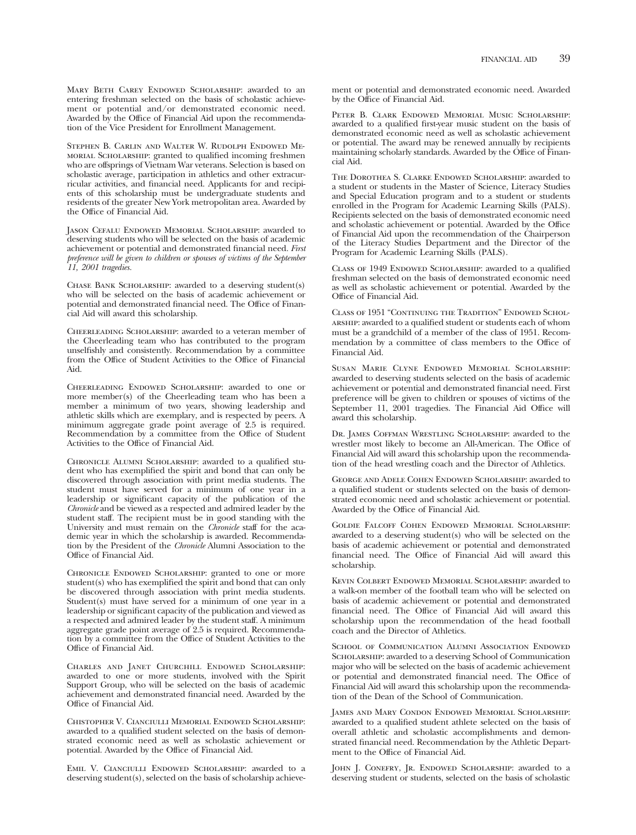MARY BETH CAREY ENDOWED SCHOLARSHIP: awarded to an entering freshman selected on the basis of scholastic achievement or potential and/or demonstrated economic need. Awarded by the Office of Financial Aid upon the recommendation of the Vice President for Enrollment Management.

Stephen B. Carlin and Walter W. Rudolph Endowed Memorial Scholarship: granted to qualifed incoming freshmen who are offsprings of Vietnam War veterans. Selection is based on scholastic average, participation in athletics and other extracurricular activities, and fnancial need. Applicants for and recipients of this scholarship must be undergraduate students and residents of the greater New York metropolitan area. Awarded by the Office of Financial Aid.

Jason Cefalu Endowed Memorial Scholarship: awarded to deserving students who will be selected on the basis of academic achievement or potential and demonstrated fnancial need. *First preference will be given to children or spouses of victims of the September 11, 2001 tragedies.* 

Chase Bank Scholarship: awarded to a deserving student(s) who will be selected on the basis of academic achievement or potential and demonstrated financial need. The Office of Financial Aid will award this scholarship.

Cheerleading Scholarship: awarded to a veteran member of the Cheerleading team who has contributed to the program unselfshly and consistently. Recommendation by a committee from the Office of Student Activities to the Office of Financial Aid.

Cheerleading Endowed Scholarship: awarded to one or more member(s) of the Cheerleading team who has been a member a minimum of two years, showing leadership and athletic skills which are exemplary, and is respected by peers. A minimum aggregate grade point average of 2.5 is required. Recommendation by a committee from the Office of Student Activities to the Office of Financial Aid.

Chronicle Alumni Scholarship: awarded to a qualifed student who has exemplifed the spirit and bond that can only be discovered through association with print media students. The student must have served for a minimum of one year in a leadership or signifcant capacity of the publication of the *Chronicle* and be viewed as a respected and admired leader by the student staff. The recipient must be in good standing with the University and must remain on the *Chronicle* staff for the academic year in which the scholarship is awarded. Recommendation by the President of the *Chronicle* Alumni Association to the Office of Financial Aid.

CHRONICLE ENDOWED SCHOLARSHIP: granted to one or more student(s) who has exemplifed the spirit and bond that can only be discovered through association with print media students. Student(s) must have served for a minimum of one year in a leadership or signifcant capacity of the publication and viewed as a respected and admired leader by the student staff. A minimum aggregate grade point average of 2.5 is required. Recommendation by a committee from the Office of Student Activities to the Office of Financial Aid.

Charles and Janet Churchill Endowed Scholarship: awarded to one or more students, involved with the Spirit Support Group, who will be selected on the basis of academic achievement and demonstrated fnancial need. Awarded by the Offce of Financial Aid.

Chistopher V. Cianciulli Memorial Endowed Scholarship: awarded to a qualifed student selected on the basis of demonstrated economic need as well as scholastic achievement or potential. Awarded by the Office of Financial Aid.

Emil V. Cianciulli Endowed Scholarship: awarded to a deserving student(s), selected on the basis of scholarship achievement or potential and demonstrated economic need. Awarded by the Office of Financial Aid.

Peter B. Clark Endowed Memorial Music Scholarship: awarded to a qualifed frst-year music student on the basis of demonstrated economic need as well as scholastic achievement or potential. The award may be renewed annually by recipients maintaining scholarly standards. Awarded by the Office of Financial Aid.

The Dorothea S. Clarke Endowed Scholarship: awarded to a student or students in the Master of Science, Literacy Studies and Special Education program and to a student or students enrolled in the Program for Academic Learning Skills (PALS). Recipients selected on the basis of demonstrated economic need and scholastic achievement or potential. Awarded by the Office of Financial Aid upon the recommendation of the Chairperson of the Literacy Studies Department and the Director of the Program for Academic Learning Skills (PALS).

CLASS OF 1949 ENDOWED SCHOLARSHIP: awarded to a qualified freshman selected on the basis of demonstrated economic need as well as scholastic achievement or potential. Awarded by the Office of Financial Aid.

Class of 1951 "Continuing the Tradition" Endowed Scholarship: awarded to a qualifed student or students each of whom must be a grandchild of a member of the class of 1951. Recommendation by a committee of class members to the Office of Financial Aid.

Susan Marie Clyne Endowed Memorial Scholarship: awarded to deserving students selected on the basis of academic achievement or potential and demonstrated fnancial need. First preference will be given to children or spouses of victims of the September 11, 2001 tragedies. The Financial Aid Office will award this scholarship.

Dr. James Coffman Wrestling Scholarship: awarded to the wrestler most likely to become an All-American. The Office of Financial Aid will award this scholarship upon the recommendation of the head wrestling coach and the Director of Athletics.

George and Adele Cohen Endowed Scholarship: awarded to a qualifed student or students selected on the basis of demonstrated economic need and scholastic achievement or potential. Awarded by the Office of Financial Aid.

Goldie Falcoff Cohen Endowed Memorial Scholarship: awarded to a deserving student(s) who will be selected on the basis of academic achievement or potential and demonstrated fnancial need. The Offce of Financial Aid will award this scholarship.

Kevin Colbert Endowed Memorial Scholarship: awarded to a walk-on member of the football team who will be selected on basis of academic achievement or potential and demonstrated financial need. The Office of Financial Aid will award this scholarship upon the recommendation of the head football coach and the Director of Athletics.

SCHOOL OF COMMUNICATION ALUMNI ASSOCIATION ENDOWED Scholarship: awarded to a deserving School of Communication major who will be selected on the basis of academic achievement or potential and demonstrated financial need. The Office of Financial Aid will award this scholarship upon the recommendation of the Dean of the School of Communication.

James and Mary Condon Endowed Memorial Scholarship: awarded to a qualifed student athlete selected on the basis of overall athletic and scholastic accomplishments and demonstrated fnancial need. Recommendation by the Athletic Department to the Office of Financial Aid.

JOHN J. CONEFRY, JR. ENDOWED SCHOLARSHIP: awarded to a deserving student or students, selected on the basis of scholastic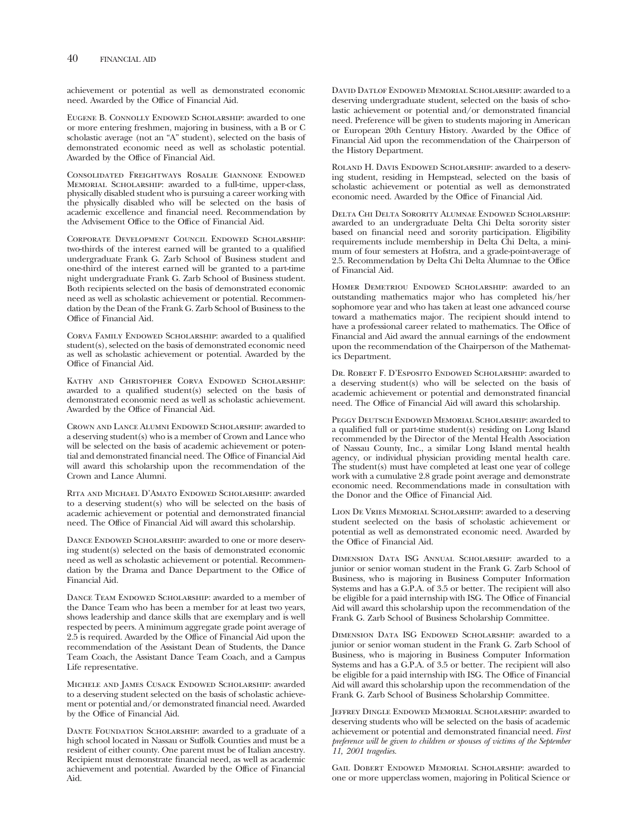achievement or potential as well as demonstrated economic need. Awarded by the Office of Financial Aid.

Eugene B. Connolly Endowed Scholarship: awarded to one or more entering freshmen, majoring in business, with a B or C scholastic average (not an "A" student), selected on the basis of demonstrated economic need as well as scholastic potential. Awarded by the Office of Financial Aid.

Consolidated Freightways Rosalie Giannone Endowed Memorial Scholarship: awarded to a full-time, upper-class, physically disabled student who is pursuing a career working with the physically disabled who will be selected on the basis of academic excellence and fnancial need. Recommendation by the Advisement Office to the Office of Financial Aid.

Corporate Development Council Endowed Scholarship: two-thirds of the interest earned will be granted to a qualifed undergraduate Frank G. Zarb School of Business student and one-third of the interest earned will be granted to a part-time night undergraduate Frank G. Zarb School of Business student. Both recipients selected on the basis of demonstrated economic need as well as scholastic achievement or potential. Recommendation by the Dean of the Frank G. Zarb School of Business to the Offce of Financial Aid.

CORVA FAMILY ENDOWED SCHOLARSHIP: awarded to a qualified student(s), selected on the basis of demonstrated economic need as well as scholastic achievement or potential. Awarded by the Office of Financial Aid.

Kathy and Christopher Corva Endowed Scholarship: awarded to a qualifed student(s) selected on the basis of demonstrated economic need as well as scholastic achievement. Awarded by the Office of Financial Aid.

Crown and Lance Alumni Endowed Scholarship: awarded to a deserving student(s) who is a member of Crown and Lance who will be selected on the basis of academic achievement or potential and demonstrated financial need. The Office of Financial Aid will award this scholarship upon the recommendation of the Crown and Lance Alumni.

Rita and Michael D'Amato Endowed Scholarship: awarded to a deserving student(s) who will be selected on the basis of academic achievement or potential and demonstrated fnancial need. The Office of Financial Aid will award this scholarship.

DANCE ENDOWED SCHOLARSHIP: awarded to one or more deserving student(s) selected on the basis of demonstrated economic need as well as scholastic achievement or potential. Recommendation by the Drama and Dance Department to the Office of Financial Aid.

DANCE TEAM ENDOWED SCHOLARSHIP: awarded to a member of the Dance Team who has been a member for at least two years, shows leadership and dance skills that are exemplary and is well respected by peers. A minimum aggregate grade point average of 2.5 is required. Awarded by the Offce of Financial Aid upon the recommendation of the Assistant Dean of Students, the Dance Team Coach, the Assistant Dance Team Coach, and a Campus Life representative.

Michele and James Cusack Endowed Scholarship: awarded to a deserving student selected on the basis of scholastic achievement or potential and/or demonstrated fnancial need. Awarded by the Office of Financial Aid.

DANTE FOUNDATION SCHOLARSHIP: awarded to a graduate of a high school located in Nassau or Suffolk Counties and must be a resident of either county. One parent must be of Italian ancestry. Recipient must demonstrate fnancial need, as well as academic achievement and potential. Awarded by the Office of Financial Aid.

David Datlof Endowed Memorial Scholarship: awarded to a deserving undergraduate student, selected on the basis of scholastic achievement or potential and/or demonstrated fnancial need. Preference will be given to students majoring in American or European 20th Century History. Awarded by the Office of Financial Aid upon the recommendation of the Chairperson of the History Department.

ROLAND H. DAVIS ENDOWED SCHOLARSHIP: awarded to a deserving student, residing in Hempstead, selected on the basis of scholastic achievement or potential as well as demonstrated economic need. Awarded by the Office of Financial Aid.

Delta Chi Delta Sorority Alumnae Endowed Scholarship: awarded to an undergraduate Delta Chi Delta sorority sister based on fnancial need and sorority participation. Eligibility requirements include membership in Delta Chi Delta, a minimum of four semesters at Hofstra, and a grade-point-average of 2.5. Recommendation by Delta Chi Delta Alumnae to the Office of Financial Aid.

HOMER DEMETRIOU ENDOWED SCHOLARSHIP: awarded to an outstanding mathematics major who has completed his/her sophomore year and who has taken at least one advanced course toward a mathematics major. The recipient should intend to have a professional career related to mathematics. The Office of Financial and Aid award the annual earnings of the endowment upon the recommendation of the Chairperson of the Mathematics Department.

Dr. Robert F. D'Esposito Endowed Scholarship: awarded to a deserving student(s) who will be selected on the basis of academic achievement or potential and demonstrated fnancial need. The Office of Financial Aid will award this scholarship.

Peggy Deutsch Endowed Memorial Scholarship: awarded to a qualifed full or part-time student(s) residing on Long Island recommended by the Director of the Mental Health Association of Nassau County, Inc., a similar Long Island mental health agency, or individual physician providing mental health care. The student(s) must have completed at least one year of college work with a cumulative 2.8 grade point average and demonstrate economic need. Recommendations made in consultation with the Donor and the Office of Financial Aid.

Lion De Vries Memorial Scholarship: awarded to a deserving student seelected on the basis of scholastic achievement or potential as well as demonstrated economic need. Awarded by the Office of Financial Aid.

Dimension Data ISG Annual Scholarship: awarded to a junior or senior woman student in the Frank G. Zarb School of Business, who is majoring in Business Computer Information Systems and has a G.P.A. of 3.5 or better. The recipient will also be eligible for a paid internship with ISG. The Office of Financial Aid will award this scholarship upon the recommendation of the Frank G. Zarb School of Business Scholarship Committee.

DIMENSION DATA ISG ENDOWED SCHOLARSHIP: awarded to a junior or senior woman student in the Frank G. Zarb School of Business, who is majoring in Business Computer Information Systems and has a G.P.A. of 3.5 or better. The recipient will also be eligible for a paid internship with ISG. The Office of Financial Aid will award this scholarship upon the recommendation of the Frank G. Zarb School of Business Scholarship Committee.

Jeffrey Dingle Endowed Memorial Scholarship: awarded to deserving students who will be selected on the basis of academic achievement or potential and demonstrated fnancial need. *First preference will be given to children or spouses of victims of the September 11, 2001 tragedies.* 

Gail Dobert Endowed Memorial Scholarship: awarded to one or more upperclass women, majoring in Political Science or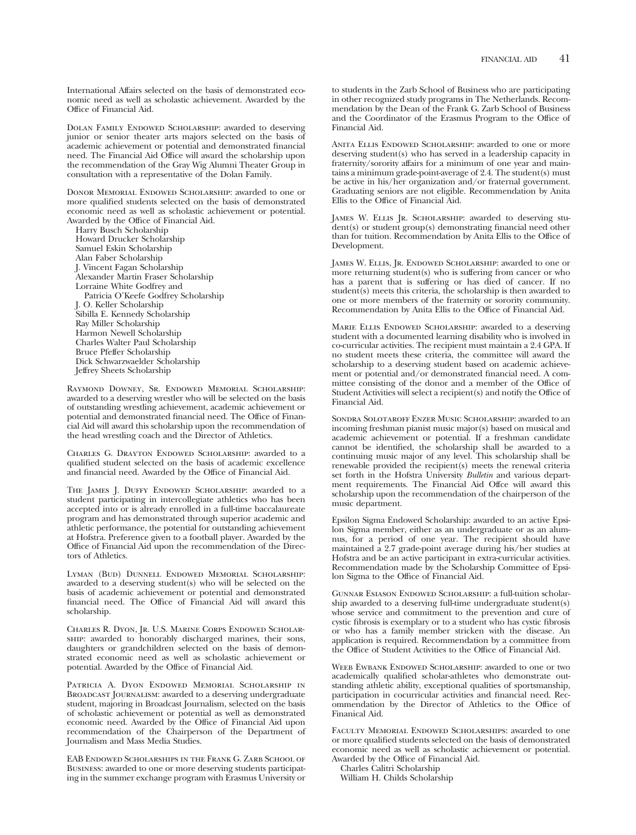International Affairs selected on the basis of demonstrated economic need as well as scholastic achievement. Awarded by the Office of Financial Aid.

DOLAN FAMILY ENDOWED SCHOLARSHIP: awarded to deserving junior or senior theater arts majors selected on the basis of academic achievement or potential and demonstrated fnancial need. The Financial Aid Office will award the scholarship upon the recommendation of the Gray Wig Alumni Theater Group in consultation with a representative of the Dolan Family.

DONOR MEMORIAL ENDOWED SCHOLARSHIP: awarded to one or more qualifed students selected on the basis of demonstrated economic need as well as scholastic achievement or potential. Awarded by the Office of Financial Aid.

Harry Busch Scholarship Howard Drucker Scholarship Samuel Eskin Scholarship Alan Faber Scholarship J. Vincent Fagan Scholarship Alexander Martin Fraser Scholarship Lorraine White Godfrey and Patricia O'Keefe Godfrey Scholarship J. O. Keller Scholarship Sibilla E. Kennedy Scholarship Ray Miller Scholarship Harmon Newell Scholarship Charles Walter Paul Scholarship Bruce Pfeffer Scholarship Dick Schwarzwaelder Scholarship Jeffrey Sheets Scholarship

Raymond Downey, Sr. Endowed Memorial Scholarship: awarded to a deserving wrestler who will be selected on the basis of outstanding wrestling achievement, academic achievement or potential and demonstrated financial need. The Office of Financial Aid will award this scholarship upon the recommendation of the head wrestling coach and the Director of Athletics.

Charles G. Drayton Endowed Scholarship: awarded to a qualifed student selected on the basis of academic excellence and financial need. Awarded by the Office of Financial Aid.

The James J. Duffy Endowed Scholarship: awarded to a student participating in intercollegiate athletics who has been accepted into or is already enrolled in a full-time baccalaureate program and has demonstrated through superior academic and athletic performance, the potential for outstanding achievement at Hofstra. Preference given to a football player. Awarded by the Offce of Financial Aid upon the recommendation of the Directors of Athletics.

Lyman (Bud) Dunnell Endowed Memorial Scholarship: awarded to a deserving student(s) who will be selected on the basis of academic achievement or potential and demonstrated financial need. The Office of Financial Aid will award this scholarship.

Charles R. Dyon, Jr. U.S. Marine Corps Endowed Scholarship: awarded to honorably discharged marines, their sons, daughters or grandchildren selected on the basis of demonstrated economic need as well as scholastic achievement or potential. Awarded by the Office of Financial Aid.

Patricia A. Dyon Endowed Memorial Scholarship in BROADCAST JOURNALISM: awarded to a deserving undergraduate student, majoring in Broadcast Journalism, selected on the basis of scholastic achievement or potential as well as demonstrated economic need. Awarded by the Office of Financial Aid upon recommendation of the Chairperson of the Department of Journalism and Mass Media Studies.

EAB Endowed Scholarships in the Frank G. Zarb School of Business: awarded to one or more deserving students participating in the summer exchange program with Erasmus University or to students in the Zarb School of Business who are participating in other recognized study programs in The Netherlands. Recommendation by the Dean of the Frank G. Zarb School of Business and the Coordinator of the Erasmus Program to the Office of Financial Aid.

ANITA ELLIS ENDOWED SCHOLARSHIP: awarded to one or more deserving student(s) who has served in a leadership capacity in fraternity/sorority affairs for a minimum of one year and maintains a minimum grade-point-average of 2.4. The student(s) must be active in his/her organization and/or fraternal government. Graduating seniors are not eligible. Recommendation by Anita Ellis to the Offce of Financial Aid.

JAMES W. ELLIS JR. SCHOLARSHIP: awarded to deserving student(s) or student group(s) demonstrating fnancial need other than for tuition. Recommendation by Anita Ellis to the Office of Development.

JAMES W. ELLIS, JR. ENDOWED SCHOLARSHIP: awarded to one or more returning student(s) who is suffering from cancer or who has a parent that is suffering or has died of cancer. If no student(s) meets this criteria, the scholarship is then awarded to one or more members of the fraternity or sorority community. Recommendation by Anita Ellis to the Office of Financial Aid.

MARIE ELLIS ENDOWED SCHOLARSHIP: awarded to a deserving student with a documented learning disability who is involved in co-curricular activities. The recipient must maintain a 2.4 GPA. If no student meets these criteria, the committee will award the scholarship to a deserving student based on academic achievement or potential and/or demonstrated fnancial need. A committee consisting of the donor and a member of the Office of Student Activities will select a recipient(s) and notify the Office of Financial Aid.

Sondra Solotaroff Enzer Music Scholarship: awarded to an incoming freshman pianist music major(s) based on musical and academic achievement or potential. If a freshman candidate cannot be identifed, the scholarship shall be awarded to a continuing music major of any level. This scholarship shall be renewable provided the recipient(s) meets the renewal criteria set forth in the Hofstra University *Bulletin* and various department requirements. The Financial Aid Offce will award this scholarship upon the recommendation of the chairperson of the music department.

Epsilon Sigma Endowed Scholarship: awarded to an active Epsilon Sigma member, either as an undergraduate or as an alumnus, for a period of one year. The recipient should have maintained a 2.7 grade-point average during his/her studies at Hofstra and be an active participant in extra-curricular activities. Recommendation made by the Scholarship Committee of Epsilon Sigma to the Office of Financial Aid.

Gunnar Esiason Endowed Scholarship: a full-tuition scholarship awarded to a deserving full-time undergraduate student(s) whose service and commitment to the prevention and cure of cystic fbrosis is exemplary or to a student who has cystic fbrosis or who has a family member stricken with the disease. An application is required. Recommendation by a committee from the Offce of Student Activities to the Offce of Financial Aid.

WEEB EWBANK ENDOWED SCHOLARSHIP: awarded to one or two academically qualifed scholar-athletes who demonstrate outstanding athletic ability, exceptional qualities of sportsmanship, participation in cocurricular activities and fnancial need. Recommendation by the Director of Athletics to the Office of Finanical Aid.

Faculty Memorial Endowed Scholarships: awarded to one or more qualifed students selected on the basis of demonstrated economic need as well as scholastic achievement or potential. Awarded by the Office of Financial Aid.

Charles Calitri Scholarship

William H. Childs Scholarship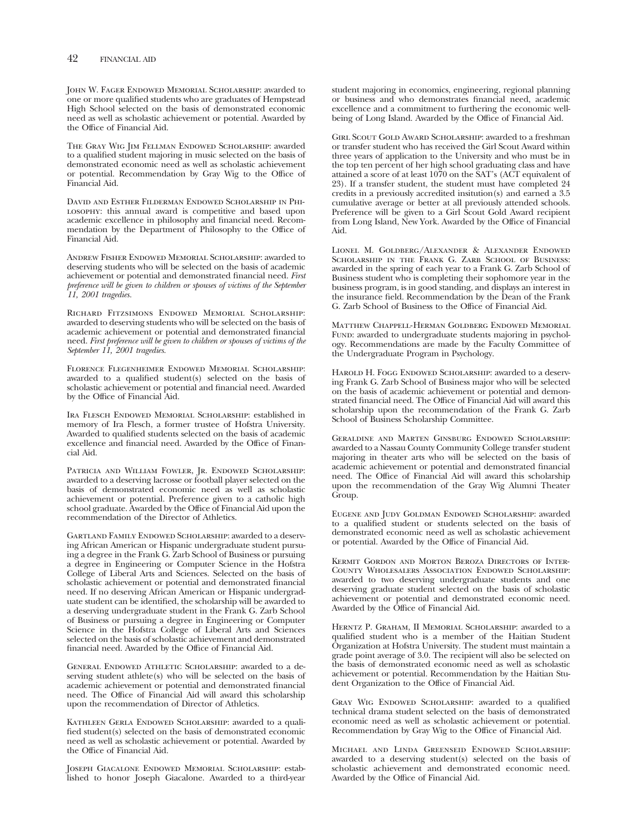JOHN W. FAGER ENDOWED MEMORIAL SCHOLARSHIP: awarded to one or more qualifed students who are graduates of Hempstead High School selected on the basis of demonstrated economic need as well as scholastic achievement or potential. Awarded by the Office of Financial Aid.

The Gray Wig Jim Fellman Endowed Scholarship: awarded to a qualifed student majoring in music selected on the basis of demonstrated economic need as well as scholastic achievement or potential. Recommendation by Gray Wig to the Office of Financial Aid.

David and Esther Filderman Endowed Scholarship in Philosophy: this annual award is competitive and based upon academic excellence in philosophy and fnancial need. Recommendation by the Department of Philosophy to the Office of Financial Aid.

Andrew Fisher Endowed Memorial Scholarship: awarded to deserving students who will be selected on the basis of academic achievement or potential and demonstrated fnancial need. *First preference will be given to children or spouses of victims of the September 11, 2001 tragedies.* 

Richard Fitzsimons Endowed Memorial Scholarship: awarded to deserving students who will be selected on the basis of academic achievement or potential and demonstrated fnancial need. *First preference will be given to children or spouses of victims of the September 11, 2001 tragedies.* 

Florence Flegenheimer Endowed Memorial Scholarship: awarded to a qualifed student(s) selected on the basis of scholastic achievement or potential and fnancial need. Awarded by the Office of Financial Aid.

Ira Flesch Endowed Memorial Scholarship: established in memory of Ira Flesch, a former trustee of Hofstra University. Awarded to qualifed students selected on the basis of academic excellence and financial need. Awarded by the Office of Financial Aid.

Patricia and William Fowler, Jr. Endowed Scholarship: awarded to a deserving lacrosse or football player selected on the basis of demonstrated economic need as well as scholastic achievement or potential. Preference given to a catholic high school graduate. Awarded by the Office of Financial Aid upon the recommendation of the Director of Athletics.

Gartland Family Endowed Scholarship: awarded to a deserving African American or Hispanic undergraduate student pursuing a degree in the Frank G. Zarb School of Business or pursuing a degree in Engineering or Computer Science in the Hofstra College of Liberal Arts and Sciences. Selected on the basis of scholastic achievement or potential and demonstrated fnancial need. If no deserving African American or Hispanic undergraduate student can be identifed, the scholarship will be awarded to a deserving undergraduate student in the Frank G. Zarb School of Business or pursuing a degree in Engineering or Computer Science in the Hofstra College of Liberal Arts and Sciences selected on the basis of scholastic achievement and demonstrated financial need. Awarded by the Office of Financial Aid.

General Endowed Athletic Scholarship: awarded to a deserving student athlete(s) who will be selected on the basis of academic achievement or potential and demonstrated fnancial need. The Office of Financial Aid will award this scholarship upon the recommendation of Director of Athletics.

KATHLEEN GERLA ENDOWED SCHOLARSHIP: awarded to a qualifed student(s) selected on the basis of demonstrated economic need as well as scholastic achievement or potential. Awarded by the Office of Financial Aid.

Joseph Giacalone Endowed Memorial Scholarship: established to honor Joseph Giacalone. Awarded to a third-year student majoring in economics, engineering, regional planning or business and who demonstrates fnancial need, academic excellence and a commitment to furthering the economic wellbeing of Long Island. Awarded by the Office of Financial Aid.

Girl Scout Gold Award Scholarship: awarded to a freshman or transfer student who has received the Girl Scout Award within three years of application to the University and who must be in the top ten percent of her high school graduating class and have attained a score of at least 1070 on the SAT's (ACT equivalent of 23). If a transfer student, the student must have completed 24 credits in a previously accredited insitution(s) and earned a 3.5 cumulative average or better at all previously attended schools. Preference will be given to a Girl Scout Gold Award recipient from Long Island, New York. Awarded by the Office of Financial Aid.

Lionel M. Goldberg/Alexander & Alexander Endowed SCHOLARSHIP IN THE FRANK G. ZARB SCHOOL OF BUSINESS: awarded in the spring of each year to a Frank G. Zarb School of Business student who is completing their sophomore year in the business program, is in good standing, and displays an interest in the insurance feld. Recommendation by the Dean of the Frank G. Zarb School of Business to the Offce of Financial Aid.

Matthew Chappell-Herman Goldberg Endowed Memorial FUND: awarded to undergraduate students majoring in psychology. Recommendations are made by the Faculty Committee of the Undergraduate Program in Psychology.

HAROLD H. FOGG ENDOWED SCHOLARSHIP: awarded to a deserving Frank G. Zarb School of Business major who will be selected on the basis of academic achievement or potential and demonstrated financial need. The Office of Financial Aid will award this scholarship upon the recommendation of the Frank G. Zarb School of Business Scholarship Committee.

Geraldine and Marten Ginsburg Endowed Scholarship: awarded to a Nassau County Community College transfer student majoring in theater arts who will be selected on the basis of academic achievement or potential and demonstrated fnancial need. The Office of Financial Aid will award this scholarship upon the recommendation of the Gray Wig Alumni Theater Group.

Eugene and Judy Goldman Endowed Scholarship: awarded to a qualifed student or students selected on the basis of demonstrated economic need as well as scholastic achievement or potential. Awarded by the Office of Financial Aid.

Kermit Gordon and Morton Beroza Directors of Inter-County Wholesalers Association Endowed Scholarship: awarded to two deserving undergraduate students and one deserving graduate student selected on the basis of scholastic achievement or potential and demonstrated economic need. Awarded by the Office of Financial Aid.

Herntz P. Graham, II Memorial Scholarship: awarded to a qualifed student who is a member of the Haitian Student Organization at Hofstra University. The student must maintain a grade point average of 3.0. The recipient will also be selected on the basis of demonstrated economic need as well as scholastic achievement or potential. Recommendation by the Haitian Student Organization to the Office of Financial Aid.

GRAY WIG ENDOWED SCHOLARSHIP: awarded to a qualified technical drama student selected on the basis of demonstrated economic need as well as scholastic achievement or potential. Recommendation by Gray Wig to the Office of Financial Aid.

Michael and Linda Greenseid Endowed Scholarship: awarded to a deserving student(s) selected on the basis of scholastic achievement and demonstrated economic need. Awarded by the Office of Financial Aid.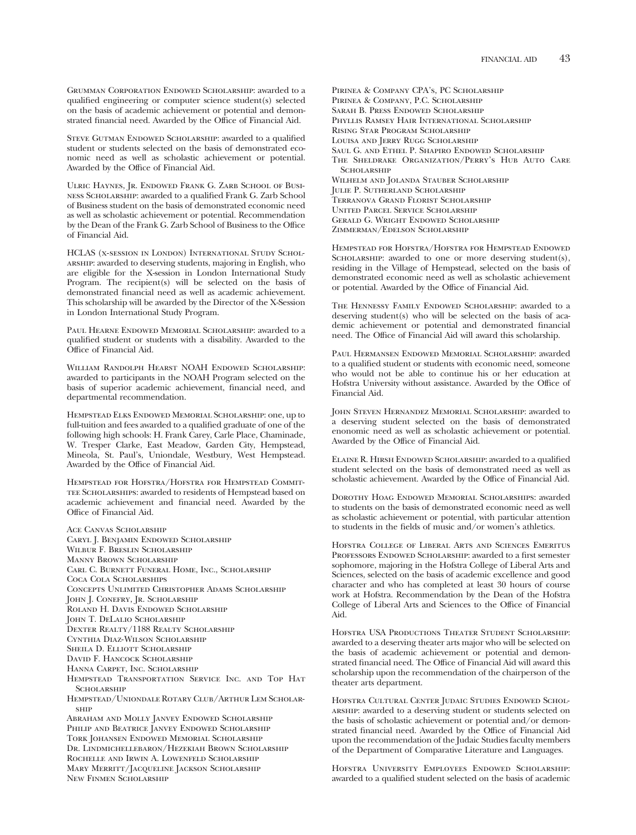Grumman Corporation Endowed Scholarship: awarded to a qualifed engineering or computer science student(s) selected on the basis of academic achievement or potential and demonstrated financial need. Awarded by the Office of Financial Aid.

STEVE GUTMAN ENDOWED SCHOLARSHIP: awarded to a qualified student or students selected on the basis of demonstrated economic need as well as scholastic achievement or potential. Awarded by the Office of Financial Aid.

Ulric Haynes, Jr. Endowed Frank G. Zarb School of Business Scholarship: awarded to a qualifed Frank G. Zarb School of Business student on the basis of demonstrated economic need as well as scholastic achievement or potential. Recommendation by the Dean of the Frank G. Zarb School of Business to the Office of Financial Aid.

HCLAS (x-session in London) International Study Scholarship: awarded to deserving students, majoring in English, who are eligible for the X-session in London International Study Program. The recipient(s) will be selected on the basis of demonstrated fnancial need as well as academic achievement. This scholarship will be awarded by the Director of the X-Session in London International Study Program.

PAUL HEARNE ENDOWED MEMORIAL SCHOLARSHIP: awarded to a qualifed student or students with a disability. Awarded to the Offce of Financial Aid.

William Randolph Hearst NOAH Endowed Scholarship: awarded to participants in the NOAH Program selected on the basis of superior academic achievement, fnancial need, and departmental recommendation.

Hempstead Elks Endowed Memorial Scholarship: one, up to full-tuition and fees awarded to a qualifed graduate of one of the following high schools: H. Frank Carey, Carle Place, Chaminade, W. Tresper Clarke, East Meadow, Garden City, Hempstead, Mineola, St. Paul's, Uniondale, Westbury, West Hempstead. Awarded by the Office of Financial Aid.

Hempstead for Hofstra/Hofstra for Hempstead Commit-TEE SCHOLARSHIPS: awarded to residents of Hempstead based on academic achievement and fnancial need. Awarded by the Office of Financial Aid.

Ace Canvas Scholarship Caryl J. Benjamin Endowed Scholarship Wilbur F. Breslin Scholarship Manny Brown Scholarship Carl C. Burnett Funeral Home, Inc., Scholarship Coca Cola Scholarships Concepts Unlimited Christopher Adams Scholarship John J. Conefry, Jr. Scholarship Roland H. Davis Endowed Scholarship John T. DeLalio Scholarship Dexter Realty/1188 Realty Scholarship Cynthia Diaz-Wilson Scholarship SHEILA D. ELLIOTT SCHOLARSHIP David F. Hancock Scholarship Hanna Carpet, Inc. Scholarship Hempstead Transportation Service Inc. and Top Hat **SCHOLARSHIP** Hempstead/Uniondale Rotary Club/Arthur Lem Scholarship Abraham and Molly Janvey Endowed Scholarship Philip and Beatrice Janvey Endowed Scholarship Tork Johansen Endowed Memorial Scholarship Dr. Lindmichellebaron/Hezekiah Brown Scholarship Rochelle and Irwin A. Lowenfeld Scholarship Mary Merritt/Jacqueline Jackson Scholarship New Finmen Scholarship

Pirinea & Company CPA's, PC Scholarship Pirinea & Company, P.C. Scholarship Sarah B. Press Endowed Scholarship Phyllis Ramsey Hair International Scholarship Rising Star Program Scholarship Louisa and Jerry Rugg Scholarship Saul G. and Ethel P. Shapiro Endowed Scholarship The Sheldrake Organization/Perry's Hub Auto Care SCHOLARSHIP WILHELM AND JOLANDA STAUBER SCHOLARSHIP Julie P. Sutherland Scholarship Terranova Grand Florist Scholarship United Parcel Service Scholarship Gerald G. Wright Endowed Scholarship Zimmerman/Edelson Scholarship

Hempstead for Hofstra/Hofstra for Hempstead Endowed SCHOLARSHIP: awarded to one or more deserving student(s), residing in the Village of Hempstead, selected on the basis of demonstrated economic need as well as scholastic achievement or potential. Awarded by the Office of Financial Aid.

The Hennessy Family Endowed Scholarship: awarded to a deserving student(s) who will be selected on the basis of academic achievement or potential and demonstrated fnancial need. The Office of Financial Aid will award this scholarship.

Paul Hermansen Endowed Memorial Scholarship: awarded to a qualifed student or students with economic need, someone who would not be able to continue his or her education at Hofstra University without assistance. Awarded by the Office of Financial Aid.

John Steven Hernandez Memorial Scholarship: awarded to a deserving student selected on the basis of demonstrated enonomic need as well as scholastic achievement or potential. Awarded by the Office of Financial Aid.

Elaine R. Hirsh Endowed Scholarship: awarded to a qualifed student selected on the basis of demonstrated need as well as scholastic achievement. Awarded by the Office of Financial Aid.

Dorothy Hoag Endowed Memorial Scholarships: awarded to students on the basis of demonstrated economic need as well as scholastic achievement or potential, with particular attention to students in the felds of music and/or women's athletics.

Hofstra College of Liberal Arts and Sciences Emeritus PROFESSORS ENDOWED SCHOLARSHIP: awarded to a first semester sophomore, majoring in the Hofstra College of Liberal Arts and Sciences, selected on the basis of academic excellence and good character and who has completed at least 30 hours of course work at Hofstra. Recommendation by the Dean of the Hofstra College of Liberal Arts and Sciences to the Office of Financial Aid.

Hofstra USA Productions Theater Student Scholarship: awarded to a deserving theater arts major who will be selected on the basis of academic achievement or potential and demonstrated financial need. The Office of Financial Aid will award this scholarship upon the recommendation of the chairperson of the theater arts department.

Hofstra Cultural Center Judaic Studies Endowed Scholarship: awarded to a deserving student or students selected on the basis of scholastic achievement or potential and/or demonstrated financial need. Awarded by the Office of Financial Aid upon the recommendation of the Judaic Studies faculty members of the Department of Comparative Literature and Languages.

Hofstra University Employees Endowed Scholarship: awarded to a qualifed student selected on the basis of academic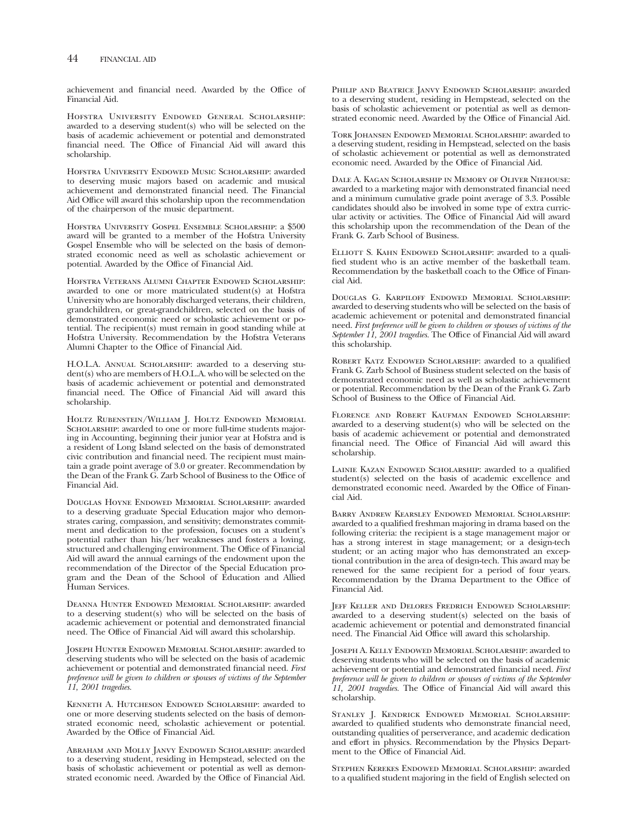achievement and financial need. Awarded by the Office of Financial Aid.

Hofstra University Endowed General Scholarship: awarded to a deserving student(s) who will be selected on the basis of academic achievement or potential and demonstrated financial need. The Office of Financial Aid will award this scholarship.

Hofstra University Endowed Music Scholarship: awarded to deserving music majors based on academic and musical achievement and demonstrated fnancial need. The Financial Aid Office will award this scholarship upon the recommendation of the chairperson of the music department.

Hofstra University Gospel Ensemble Scholarship: a \$500 award will be granted to a member of the Hofstra University Gospel Ensemble who will be selected on the basis of demonstrated economic need as well as scholastic achievement or potential. Awarded by the Office of Financial Aid.

Hofstra Veterans Alumni Chapter Endowed Scholarship: awarded to one or more matriculated student(s) at Hofstra University who are honorably discharged veterans, their children, grandchildren, or great-grandchildren, selected on the basis of demonstrated economic need or scholastic achievement or potential. The recipient(s) must remain in good standing while at Hofstra University. Recommendation by the Hofstra Veterans Alumni Chapter to the Offce of Financial Aid.

H.O.L.A. Annual Scholarship: awarded to a deserving student(s) who are members of H.O.L.A. who will be selected on the basis of academic achievement or potential and demonstrated fnancial need. The Offce of Financial Aid will award this scholarship.

Holtz Rubenstein/William J. Holtz Endowed Memorial SCHOLARSHIP: awarded to one or more full-time students majoring in Accounting, beginning their junior year at Hofstra and is a resident of Long Island selected on the basis of demonstrated civic contribution and fnancial need. The recipient must maintain a grade point average of 3.0 or greater. Recommendation by the Dean of the Frank  $\ddot{G}$ . Zarb School of Business to the Office of Financial Aid.

Douglas Hoyne Endowed Memorial Scholarship: awarded to a deserving graduate Special Education major who demonstrates caring, compassion, and sensitivity; demonstrates commitment and dedication to the profession, focuses on a student's potential rather than his/her weaknesses and fosters a loving, structured and challenging environment. The Office of Financial Aid will award the annual earnings of the endowment upon the recommendation of the Director of the Special Education program and the Dean of the School of Education and Allied Human Services.

Deanna Hunter Endowed Memorial Scholarship: awarded to a deserving student(s) who will be selected on the basis of academic achievement or potential and demonstrated fnancial need. The Office of Financial Aid will award this scholarship.

Joseph Hunter Endowed Memorial Scholarship: awarded to deserving students who will be selected on the basis of academic achievement or potential and demonstrated fnancial need. *First preference will be given to children or spouses of victims of the September 11, 2001 tragedies.* 

Kenneth A. Hutcheson Endowed Scholarship: awarded to one or more deserving students selected on the basis of demonstrated economic need, scholastic achievement or potential. Awarded by the Office of Financial Aid.

Abraham and Molly Janvy Endowed Scholarship: awarded to a deserving student, residing in Hempstead, selected on the basis of scholastic achievement or potential as well as demonstrated economic need. Awarded by the Office of Financial Aid.

Philip and Beatrice Janvy Endowed Scholarship: awarded to a deserving student, residing in Hempstead, selected on the basis of scholastic achievement or potential as well as demonstrated economic need. Awarded by the Office of Financial Aid.

Tork Johansen Endowed Memorial Scholarship: awarded to a deserving student, residing in Hempstead, selected on the basis of scholastic achievement or potential as well as demonstrated economic need. Awarded by the Office of Financial Aid.

Dale A. Kagan Scholarship in Memory of Oliver Niehouse: awarded to a marketing major with demonstrated fnancial need and a minimum cumulative grade point average of 3.3. Possible candidates should also be involved in some type of extra curricular activity or activities. The Office of Financial Aid will award this scholarship upon the recommendation of the Dean of the Frank G. Zarb School of Business.

ELLIOTT S. KAHN ENDOWED SCHOLARSHIP: awarded to a qualifed student who is an active member of the basketball team. Recommendation by the basketball coach to the Office of Financial Aid.

Douglas G. Karpiloff Endowed Memorial Scholarship: awarded to deserving students who will be selected on the basis of academic achievement or potenital and demonstrated fnancial need. *First preference will be given to children or spouses of victims of the*  September 11, 2001 tragedies. The Office of Financial Aid will award this scholarship.

ROBERT KATZ ENDOWED SCHOLARSHIP: awarded to a qualified Frank G. Zarb School of Business student selected on the basis of demonstrated economic need as well as scholastic achievement or potential. Recommendation by the Dean of the Frank G. Zarb School of Business to the Office of Financial Aid.

Florence and Robert Kaufman Endowed Scholarship: awarded to a deserving student(s) who will be selected on the basis of academic achievement or potential and demonstrated financial need. The Office of Financial Aid will award this scholarship.

LAINIE KAZAN ENDOWED SCHOLARSHIP: awarded to a qualified student(s) selected on the basis of academic excellence and demonstrated economic need. Awarded by the Office of Financial Aid.

Barry Andrew Kearsley Endowed Memorial Scholarship: awarded to a qualifed freshman majoring in drama based on the following criteria: the recipient is a stage management major or has a strong interest in stage management; or a design-tech student; or an acting major who has demonstrated an exceptional contribution in the area of design-tech. This award may be renewed for the same recipient for a period of four years. Recommendation by the Drama Department to the Office of Financial Aid.

Jeff Keller and Delores Fredrich Endowed Scholarship: awarded to a deserving student(s) selected on the basis of academic achievement or potential and demonstrated fnancial need. The Financial Aid Office will award this scholarship.

Joseph A. Kelly Endowed Memorial Scholarship: awarded to deserving students who will be selected on the basis of academic achievement or potential and demonstrated fnancial need. *First preference will be given to children or spouses of victims of the September* 11, 2001 tragedies. The Office of Financial Aid will award this scholarship.

Stanley J. Kendrick Endowed Memorial Scholarship: awarded to qualifed students who demonstrate fnancial need, outstanding qualities of perserverance, and academic dedication and effort in physics. Recommendation by the Physics Department to the Office of Financial Aid.

Stephen Kerekes Endowed Memorial Scholarship: awarded to a qualifed student majoring in the feld of English selected on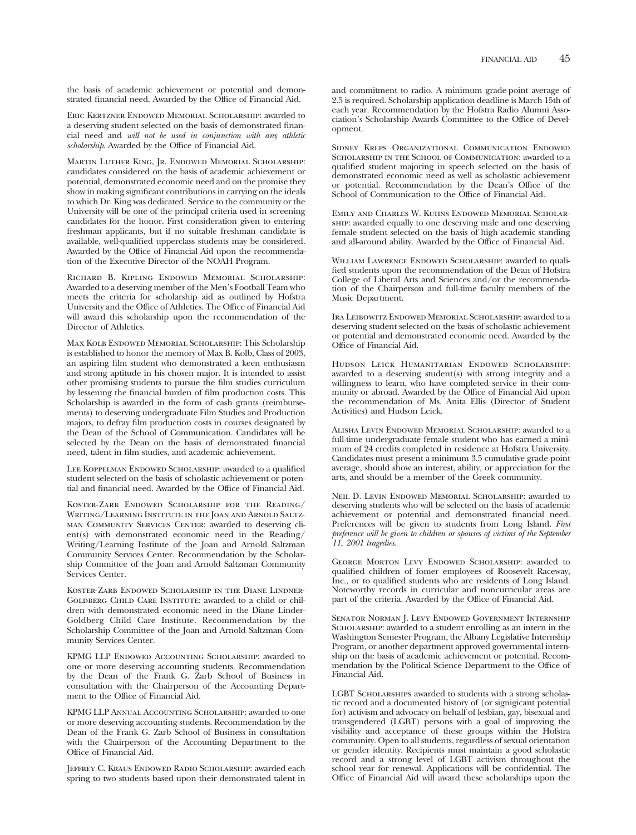the basis of academic achievement or potential and demonstrated financial need. Awarded by the Office of Financial Aid.

Eric Kertzner Endowed Memorial Scholarship: awarded to a deserving student selected on the basis of demonstrated fnancial need and *will not be used in conjunction with any athletic*  scholarship. Awarded by the Office of Financial Aid.

Martin Luther King, Jr. Endowed Memorial Scholarship: candidates considered on the basis of academic achievement or potential, demonstrated economic need and on the promise they show in making signifcant contributions in carrying on the ideals to which Dr. King was dedicated. Service to the community or the University will be one of the principal criteria used in screening candidates for the honor. First consideration given to entering freshman applicants, but if no suitable freshman candidate is available, well-qualifed upperclass students may be considered. Awarded by the Office of Financial Aid upon the recommendation of the Executive Director of the NOAH Program.

Richard B. Kipling Endowed Memorial Scholarship: Awarded to a deserving member of the Men's Football Team who meets the criteria for scholarship aid as outlined by Hofstra University and the Office of Athletics. The Office of Financial Aid will award this scholarship upon the recommendation of the Director of Athletics.

Max Kolb Endowed Memorial Scholarship: This Scholarship is established to honor the memory of Max B. Kolb, Class of 2003, an aspiring flm student who demonstrated a keen enthusiasm and strong aptitude in his chosen major. It is intended to assist other promising students to pursue the flm studies curriculum by lessening the fnancial burden of flm production costs. This Scholarship is awarded in the form of cash grants (reimbursements) to deserving undergraduate Film Studies and Production majors, to defray flm production costs in courses designated by the Dean of the School of Communication. Candidates will be selected by the Dean on the basis of demonstrated fnancial need, talent in flm studies, and academic achievement.

LEE KOPPELMAN ENDOWED SCHOLARSHIP: awarded to a qualified student selected on the basis of scholastic achievement or potential and financial need. Awarded by the Office of Financial Aid.

Koster-Zarb Endowed Scholarship for the Reading/ Writing/Learning Institute in the Joan and Arnold Saltzman Community Services Center: awarded to deserving client(s) with demonstrated economic need in the Reading/ Writing/Learning Institute of the Joan and Arnold Saltzman Community Services Center. Recommendation by the Scholarship Committee of the Joan and Arnold Saltzman Community Services Center.

Koster-Zarb Endowed Scholarship in the Diane Lindner-GOLDBERG CHILD CARE INSTITUTE: awarded to a child or children with demonstrated economic need in the Diane Linder-Goldberg Child Care Institute. Recommendation by the Scholarship Committee of the Joan and Arnold Saltzman Community Services Center.

KPMG LLP ENDOWED ACCOUNTING SCHOLARSHIP: awarded to one or more deserving accounting students. Recommendation by the Dean of the Frank G. Zarb School of Business in consultation with the Chairperson of the Accounting Department to the Office of Financial Aid.

KPMG LLP Annual Accounting Scholarship: awarded to one or more deserving accounting students. Recommendation by the Dean of the Frank G. Zarb School of Business in consultation with the Chairperson of the Accounting Department to the Office of Financial Aid.

Jeffrey C. Kraus Endowed Radio Scholarship: awarded each spring to two students based upon their demonstrated talent in

and commitment to radio. A minimum grade-point average of 2.5 is required. Scholarship application deadline is March 15th of each year. Recommendation by the Hofstra Radio Alumni Association's Scholarship Awards Committee to the Office of Development.

Sidney Kreps Organizational Communication Endowed SCHOLARSHIP IN THE SCHOOL OF COMMUNICATION: awarded to a qualifed student majoring in speech selected on the basis of demonstrated economic need as well as scholastic achievement or potential. Recommendation by the Dean's Office of the School of Communication to the Office of Financial Aid.

Emily and Charles W. Kuhns Endowed Memorial Scholarship: awarded equally to one deserving male and one deserving female student selected on the basis of high academic standing and all-around ability. Awarded by the Office of Financial Aid.

WILLIAM LAWRENCE ENDOWED SCHOLARSHIP: awarded to qualifed students upon the recommendation of the Dean of Hofstra College of Liberal Arts and Sciences and/or the recommendation of the Chairperson and full-time faculty members of the Music Department.

Ira Leibowitz Endowed Memorial Scholarship: awarded to a deserving student selected on the basis of scholastic achievement or potential and demonstrated economic need. Awarded by the Office of Financial Aid.

Hudson Leick Humanitarian Endowed Scholarship: awarded to a deserving student(s) with strong integrity and a willingness to learn, who have completed service in their community or abroad. Awarded by the Office of Financial Aid upon the recommendation of Ms. Anita Ellis (Director of Student Activities) and Hudson Leick.

Alisha Levin Endowed Memorial Scholarship: awarded to a full-time undergraduate female student who has earned a minimum of 24 credits completed in residence at Hofstra University. Candidates must present a minimum 3.5 cumulative grade point average, should show an interest, ability, or appreciation for the arts, and should be a member of the Greek community.

Neil D. Levin Endowed Memorial Scholarship: awarded to deserving students who will be selected on the basis of academic achievement or potential and demonstrated fnancial need. Preferences will be given to students from Long Island. *First preference will be given to children or spouses of victims of the September 11, 2001 tragedies.* 

George Morton Levy Endowed Scholarship: awarded to qualifed children of fomer employees of Roosevelt Raceway, Inc., or to qualifed students who are residents of Long Island. Noteworthy records in curricular and noncurricular areas are part of the criteria. Awarded by the Office of Financial Aid.

Senator Norman J. Levy Endowed Government Internship SCHOLARSHIP: awarded to a student enrolling as an intern in the Washington Semester Program, the Albany Legislative Internship Program, or another department approved governmental internship on the basis of academic achievement or potential. Recommendation by the Political Science Department to the Office of Financial Aid.

LGBT SCHOLARSHIPS awarded to students with a strong scholastic record and a documented history of (or signigicant potential for) activism and advocacy on behalf of lesbian, gay, bisexual and transgendered (LGBT) persons with a goal of improving the visibility and acceptance of these groups within the Hofstra community. Open to all students, regardless of sexual orientation or gender identity. Recipients must maintain a good scholastic record and a strong level of LGBT activism throughout the school year for renewal. Applications will be confdential. The Offce of Financial Aid will award these scholarships upon the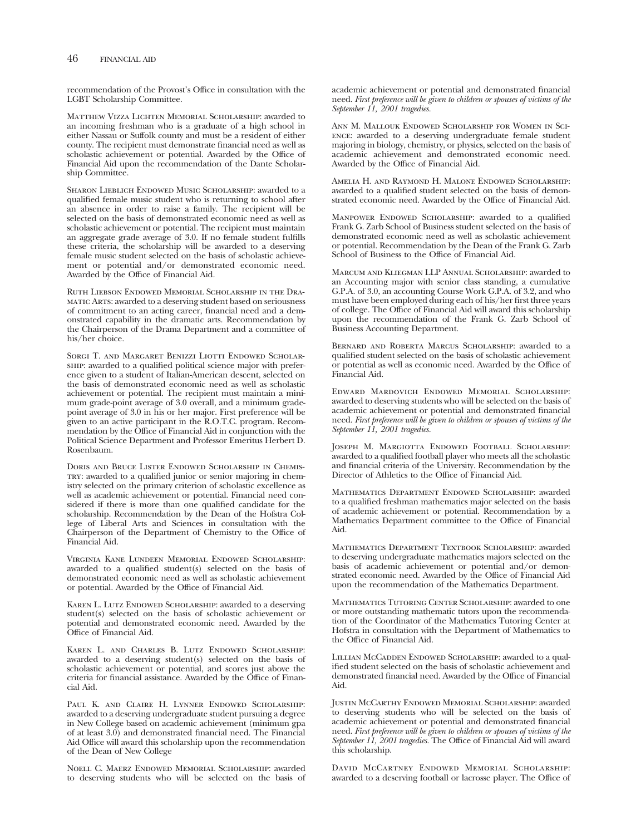recommendation of the Provost's Office in consultation with the LGBT Scholarship Committee.

Matthew Vizza Lichten Memorial Scholarship: awarded to an incoming freshman who is a graduate of a high school in either Nassau or Suffolk county and must be a resident of either county. The recipient must demonstrate fnancial need as well as scholastic achievement or potential. Awarded by the Office of Financial Aid upon the recommendation of the Dante Scholarship Committee.

SHARON LIEBLICH ENDOWED MUSIC SCHOLARSHIP: awarded to a qualifed female music student who is returning to school after an absence in order to raise a family. The recipient will be selected on the basis of demonstrated economic need as well as scholastic achievement or potential. The recipient must maintain an aggregate grade average of 3.0. If no female student fulflls these criteria, the scholarship will be awarded to a deserving female music student selected on the basis of scholastic achievement or potential and/or demonstrated economic need. Awarded by the Office of Financial Aid.

Ruth Liebson Endowed Memorial Scholarship in the Dramatic Arts: awarded to a deserving student based on seriousness of commitment to an acting career, fnancial need and a demonstrated capability in the dramatic arts. Recommendation by the Chairperson of the Drama Department and a committee of his/her choice.

SORGI T. AND MARGARET BENIZZI LIOTTI ENDOWED SCHOLARship: awarded to a qualifed political science major with preference given to a student of Italian-American descent, selected on the basis of demonstrated economic need as well as scholastic achievement or potential. The recipient must maintain a minimum grade-point average of 3.0 overall, and a minimum gradepoint average of 3.0 in his or her major. First preference will be given to an active participant in the R.O.T.C. program. Recommendation by the Office of Financial Aid in conjunction with the Political Science Department and Professor Emeritus Herbert D. Rosenbaum.

Doris and Bruce Lister Endowed Scholarship in Chemistry: awarded to a qualifed junior or senior majoring in chemistry selected on the primary criterion of scholastic excellence as well as academic achievement or potential. Financial need considered if there is more than one qualifed candidate for the scholarship. Recommendation by the Dean of the Hofstra College of Liberal Arts and Sciences in consultation with the Chairperson of the Department of Chemistry to the Office of Financial Aid.

Virginia Kane Lundeen Memorial Endowed Scholarship: awarded to a qualifed student(s) selected on the basis of demonstrated economic need as well as scholastic achievement or potential. Awarded by the Office of Financial Aid.

KAREN L. LUTZ ENDOWED SCHOLARSHIP: awarded to a deserving student(s) selected on the basis of scholastic achievement or potential and demonstrated economic need. Awarded by the Offce of Financial Aid.

Karen L. and Charles B. Lutz Endowed Scholarship: awarded to a deserving student(s) selected on the basis of scholastic achievement or potential, and scores just above the criteria for financial assistance. Awarded by the Office of Financial Aid.

Paul K. and Claire H. Lynner Endowed Scholarship: awarded to a deserving undergraduate student pursuing a degree in New College based on academic achievement (minimum gpa of at least  $3.0$ ) and demonstrated financial need. The Financial Aid Office will award this scholarship upon the recommendation of the Dean of New College

Noell C. Maerz Endowed Memorial Scholarship: awarded to deserving students who will be selected on the basis of

academic achievement or potential and demonstrated fnancial need. *First preference will be given to children or spouses of victims of the September 11, 2001 tragedies.* 

Ann M. Mallouk Endowed Scholarship for Women in Science: awarded to a deserving undergraduate female student majoring in biology, chemistry, or physics, selected on the basis of academic achievement and demonstrated economic need. Awarded by the Office of Financial Aid.

Amelia H. and Raymond H. Malone Endowed Scholarship: awarded to a qualifed student selected on the basis of demonstrated economic need. Awarded by the Office of Financial Aid.

MANPOWER ENDOWED SCHOLARSHIP: awarded to a qualified Frank G. Zarb School of Business student selected on the basis of demonstrated economic need as well as scholastic achievement or potential. Recommendation by the Dean of the Frank G. Zarb School of Business to the Office of Financial Aid.

Marcum and Kliegman LLP Annual Scholarship: awarded to an Accounting major with senior class standing, a cumulative G.P.A. of 3.0, an accounting Course Work G.P.A. of 3.2, and who must have been employed during each of his/her frst three years of college. The Office of Financial Aid will award this scholarship upon the recommendation of the Frank G. Zarb School of Business Accounting Department.

Bernard and Roberta Marcus Scholarship: awarded to a qualifed student selected on the basis of scholastic achievement or potential as well as economic need. Awarded by the Office of Financial Aid.

Edward Mardovich Endowed Memorial Scholarship: awarded to deserving students who will be selected on the basis of academic achievement or potential and demonstrated fnancial need. *First preference will be given to children or spouses of victims of the September 11, 2001 tragedies.* 

Joseph M. Margiotta Endowed Football Scholarship: awarded to a qualifed football player who meets all the scholastic and fnancial criteria of the University. Recommendation by the Director of Athletics to the Office of Financial Aid.

Mathematics Department Endowed Scholarship: awarded to a qualifed freshman mathematics major selected on the basis of academic achievement or potential. Recommendation by a Mathematics Department committee to the Office of Financial Aid.

MATHEMATICS DEPARTMENT TEXTBOOK SCHOLARSHIP: awarded to deserving undergraduate mathematics majors selected on the basis of academic achievement or potential and/or demonstrated economic need. Awarded by the Office of Financial Aid upon the recommendation of the Mathematics Department.

Mathematics Tutoring Center Scholarship: awarded to one or more outstanding mathematic tutors upon the recommendation of the Coordinator of the Mathematics Tutoring Center at Hofstra in consultation with the Department of Mathematics to the Office of Financial Aid.

LILLIAN MCCADDEN ENDOWED SCHOLARSHIP: awarded to a qualifed student selected on the basis of scholastic achievement and demonstrated financial need. Awarded by the Office of Financial Aid.

Justin McCarthy Endowed Memorial Scholarship: awarded to deserving students who will be selected on the basis of academic achievement or potential and demonstrated fnancial need. *First preference will be given to children or spouses of victims of the*  September 11, 2001 tragedies. The Office of Financial Aid will award this scholarship.

DAVID MCCARTNEY ENDOWED MEMORIAL SCHOLARSHIP: awarded to a deserving football or lacrosse player. The Office of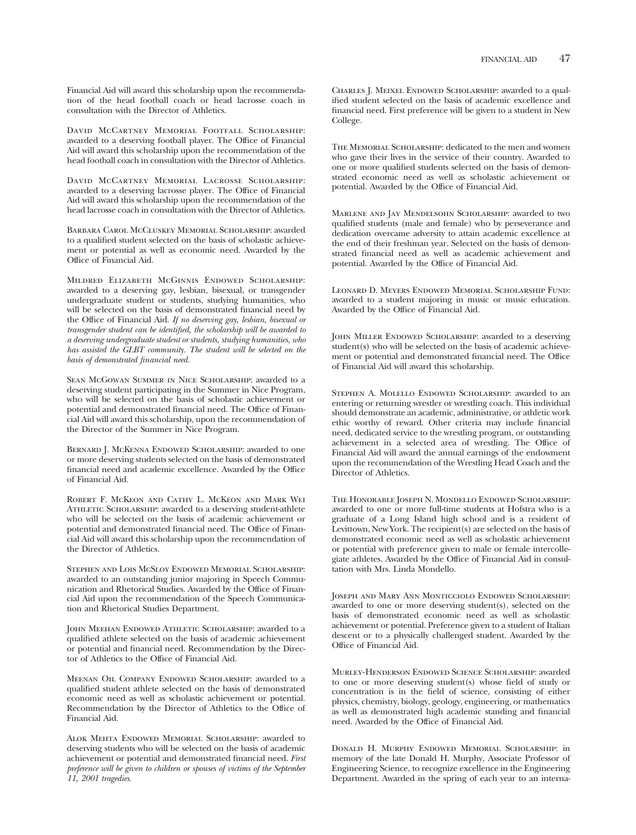Financial Aid will award this scholarship upon the recommendation of the head football coach or head lacrosse coach in consultation with the Director of Athletics.

David McCartney Memorial Footfall Scholarship: awarded to a deserving football player. The Office of Financial Aid will award this scholarship upon the recommendation of the head football coach in consultation with the Director of Athletics.

David McCartney Memorial Lacrosse Scholarship: awarded to a deserving lacrosse player. The Office of Financial Aid will award this scholarship upon the recommendation of the head lacrosse coach in consultation with the Director of Athletics.

Barbara Carol McCluskey Memorial Scholarship: awarded to a qualifed student selected on the basis of scholastic achievement or potential as well as economic need. Awarded by the Offce of Financial Aid.

Mildred Elizabeth McGinnis Endowed Scholarship: awarded to a deserving gay, lesbian, bisexual, or transgender undergraduate student or students, studying humanities, who will be selected on the basis of demonstrated fnancial need by the Office of Financial Aid. If no deserving gay, lesbian, bisexual or *transgender student can be identified, the scholarship will be awarded to a deserving undergraduate student or students, studying humanities, who has assisted the GLBT community. The student will be selected on the basis of demonstrated financial need.* 

Sean McGowan Summer in Nice Scholarship: awarded to a deserving student participating in the Summer in Nice Program, who will be selected on the basis of scholastic achievement or potential and demonstrated financial need. The Office of Financial Aid will award this scholarship, upon the recommendation of the Director of the Summer in Nice Program.

Bernard J. McKenna Endowed Scholarship: awarded to one or more deserving students selected on the basis of demonstrated financial need and academic excellence. Awarded by the Office of Financial Aid.

Robert F. McKeon and Cathy L. McKeon and Mark Wei ATHLETIC SCHOLARSHIP: awarded to a deserving student-athlete who will be selected on the basis of academic achievement or potential and demonstrated financial need. The Office of Financial Aid will award this scholarship upon the recommendation of the Director of Athletics.

Stephen and Lois McSloy Endowed Memorial Scholarship: awarded to an outstanding junior majoring in Speech Communication and Rhetorical Studies. Awarded by the Office of Financial Aid upon the recommendation of the Speech Communication and Rhetorical Studies Department.

John Meehan Endowed Athletic Scholarship: awarded to a qualifed athlete selected on the basis of academic achievement or potential and fnancial need. Recommendation by the Director of Athletics to the Office of Financial Aid.

Meenan Oil Company Endowed Scholarship: awarded to a qualifed student athlete selected on the basis of demonstrated economic need as well as scholastic achievement or potential. Recommendation by the Director of Athletics to the Office of Financial Aid.

Alok Mehta Endowed Memorial Scholarship: awarded to deserving students who will be selected on the basis of academic achievement or potential and demonstrated fnancial need. *First preference will be given to children or spouses of victims of the September 11, 2001 tragedies.* 

Charles J. Meixel Endowed Scholarship: awarded to a qualifed student selected on the basis of academic excellence and fnancial need. First preference will be given to a student in New College.

The Memorial Scholarship: dedicated to the men and women who gave their lives in the service of their country. Awarded to one or more qualifed students selected on the basis of demonstrated economic need as well as scholastic achievement or potential. Awarded by the Office of Financial Aid.

Marlene and Jay Mendelsohn Scholarship: awarded to two qualifed students (male and female) who by perseverance and dedication overcame adversity to attain academic excellence at the end of their freshman year. Selected on the basis of demonstrated fnancial need as well as academic achievement and potential. Awarded by the Office of Financial Aid.

Leonard D. Meyers Endowed Memorial Scholarship Fund: awarded to a student majoring in music or music education. Awarded by the Office of Financial Aid.

JOHN MILLER ENDOWED SCHOLARSHIP: awarded to a deserving student(s) who will be selected on the basis of academic achievement or potential and demonstrated financial need. The Office of Financial Aid will award this scholarship.

STEPHEN A. MOLELLO ENDOWED SCHOLARSHIP: awarded to an entering or returning wrestler or wrestling coach. This individual should demonstrate an academic, administrative, or athletic work ethic worthy of reward. Other criteria may include fnancial need, dedicated service to the wrestling program, or outstanding achievement in a selected area of wrestling. The Office of Financial Aid will award the annual earnings of the endowment upon the recommendation of the Wrestling Head Coach and the Director of Athletics.

The Honorable Joseph N. Mondello Endowed Scholarship: awarded to one or more full-time students at Hofstra who is a graduate of a Long Island high school and is a resident of Levittown, New York. The recipient(s) are selected on the basis of demonstrated economic need as well as scholastic achievement or potential with preference given to male or female intercollegiate athletes. Awarded by the Office of Financial Aid in consultation with Mrs. Linda Mondello.

Joseph and Mary Ann Monticciolo Endowed Scholarship: awarded to one or more deserving student(s), selected on the basis of demonstrated economic need as well as scholastic achievement or potential. Preference given to a student of Italian descent or to a physically challenged student. Awarded by the Office of Financial Aid.

Murley-Henderson Endowed Science Scholarship: awarded to one or more deserving student(s) whose feld of study or concentration is in the feld of science, consisting of either physics, chemistry, biology, geology, engineering, or mathematics as well as demonstrated high academic standing and fnancial need. Awarded by the Office of Financial Aid.

Donald H. Murphy Endowed Memorial Scholarship: in memory of the late Donald H. Murphy, Associate Professor of Engineering Science, to recognize excellence in the Engineering Department. Awarded in the spring of each year to an interna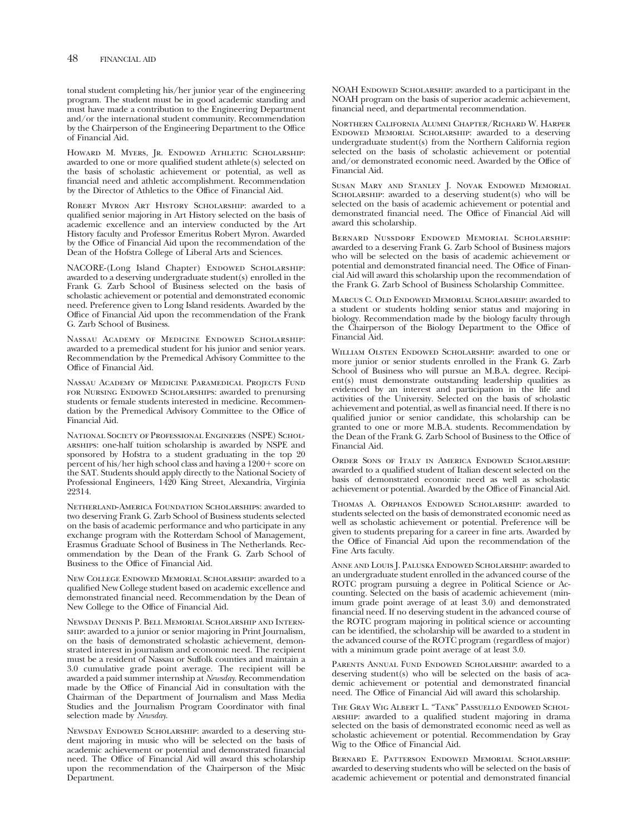tonal student completing his/her junior year of the engineering program. The student must be in good academic standing and must have made a contribution to the Engineering Department and/or the international student community. Recommendation by the Chairperson of the Engineering Department to the Office of Financial Aid.

HOWARD M. MYERS, JR. ENDOWED ATHLETIC SCHOLARSHIP: awarded to one or more qualifed student athlete(s) selected on the basis of scholastic achievement or potential, as well as fnancial need and athletic accomplishment. Recommendation by the Director of Athletics to the Office of Financial Aid.

Robert Myron Art History Scholarship: awarded to a qualifed senior majoring in Art History selected on the basis of academic excellence and an interview conducted by the Art History faculty and Professor Emeritus Robert Myron. Awarded by the Office of Financial Aid upon the recommendation of the Dean of the Hofstra College of Liberal Arts and Sciences.

NACORE-(Long Island Chapter) ENDOWED SCHOLARSHIP: awarded to a deserving undergraduate student(s) enrolled in the Frank G. Zarb School of Business selected on the basis of scholastic achievement or potential and demonstrated economic need. Preference given to Long Island residents. Awarded by the Offce of Financial Aid upon the recommendation of the Frank G. Zarb School of Business.

Nassau Academy of Medicine Endowed Scholarship: awarded to a premedical student for his junior and senior years. Recommendation by the Premedical Advisory Committee to the Offce of Financial Aid.

Nassau Academy of Medicine Paramedical Projects Fund FOR NURSING ENDOWED SCHOLARSHIPS: awarded to prenursing students or female students interested in medicine. Recommendation by the Premedical Advisory Committee to the Office of Financial Aid.

National Society of Professional Engineers (NSPE) Scholarships: one-half tuition scholarship is awarded by NSPE and sponsored by Hofstra to a student graduating in the top 20 percent of his/her high school class and having  $\frac{a}{a}$  1200+ score on the SAT. Students should apply directly to the National Society of Professional Engineers, 1420 King Street, Alexandria, Virginia 22314.

Netherland-America Foundation Scholarships: awarded to two deserving Frank G. Zarb School of Business students selected on the basis of academic performance and who participate in any exchange program with the Rotterdam School of Management, Erasmus Graduate School of Business in The Netherlands. Recommendation by the Dean of the Frank G. Zarb School of Business to the Office of Financial Aid.

New College Endowed Memorial Scholarship: awarded to a qualifed New College student based on academic excellence and demonstrated fnancial need. Recommendation by the Dean of New College to the Offce of Financial Aid.

Newsday Dennis P. Bell Memorial Scholarship and Internship: awarded to a junior or senior majoring in Print Journalism, on the basis of demonstrated scholastic achievement, demonstrated interest in journalism and economic need. The recipient must be a resident of Nassau or Suffolk counties and maintain a 3.0 cumulative grade point average. The recipient will be awarded a paid summer internship at *Newsday*. Recommendation made by the Office of Financial Aid in consultation with the Chairman of the Department of Journalism and Mass Media Studies and the Journalism Program Coordinator with fnal selection made by *Newsday*.

NEWSDAY ENDOWED SCHOLARSHIP: awarded to a deserving student majoring in music who will be selected on the basis of academic achievement or potential and demonstrated fnancial need. The Office of Financial Aid will award this scholarship upon the recommendation of the Chairperson of the Misic Department.

NOAH ENDOWED SCHOLARSHIP: awarded to a participant in the NOAH program on the basis of superior academic achievement, fnancial need, and departmental recommendation.

Northern California Alumni Chapter/Richard W. Harper Endowed Memorial Scholarship: awarded to a deserving undergraduate student(s) from the Northern California region selected on the basis of scholastic achievement or potential and/or demonstrated economic need. Awarded by the Office of Financial Aid.

Susan Mary and Stanley J. Novak Endowed Memorial SCHOLARSHIP: awarded to a deserving student(s) who will be selected on the basis of academic achievement or potential and demonstrated financial need. The Office of Financial Aid will award this scholarship.

Bernard Nussdorf Endowed Memorial Scholarship: awarded to a deserving Frank G. Zarb School of Business majors who will be selected on the basis of academic achievement or potential and demonstrated financial need. The Office of Financial Aid will award this scholarship upon the recommendation of the Frank G. Zarb School of Business Scholarship Committee.

Marcus C. Old Endowed Memorial Scholarship: awarded to a student or students holding senior status and majoring in biology. Recommendation made by the biology faculty through the Chairperson of the Biology Department to the Office of Financial Aid.

William Olsten Endowed Scholarship: awarded to one or more junior or senior students enrolled in the Frank G. Zarb School of Business who will pursue an M.B.A. degree. Recipient(s) must demonstrate outstanding leadership qualities as evidenced by an interest and participation in the life and activities of the University. Selected on the basis of scholastic achievement and potential, as well as fnancial need. If there is no qualified junior or senior candidate, this scholarship can be granted to one or more M.B.A. students. Recommendation by the Dean of the Frank G. Zarb School of Business to the Office of Financial Aid.

Order Sons of Italy in America Endowed Scholarship: awarded to a qualifed student of Italian descent selected on the basis of demonstrated economic need as well as scholastic achievement or potential. Awarded by the Office of Financial Aid.

Thomas A. Orphanos Endowed Scholarship: awarded to students selected on the basis of demonstrated economic need as well as scholastic achievement or potential. Preference will be given to students preparing for a career in fne arts. Awarded by the Office of Financial Aid upon the recommendation of the Fine Arts faculty.

Anne and Louis J. Paluska Endowed Scholarship: awarded to an undergraduate student enrolled in the advanced course of the ROTC program pursuing a degree in Political Science or Accounting. Selected on the basis of academic achievement (minimum grade point average of at least 3.0) and demonstrated fnancial need. If no deserving student in the advanced course of the ROTC program majoring in political science or accounting can be identifed, the scholarship will be awarded to a student in the advanced course of the ROTC program (regardless of major) with a minimum grade point average of at least 3.0.

Parents Annual Fund Endowed Scholarship: awarded to a deserving student(s) who will be selected on the basis of academic achievement or potential and demonstrated fnancial need. The Office of Financial Aid will award this scholarship.

The Gray Wig Albert L. "Tank" Passuello Endowed Scholarship: awarded to a qualifed student majoring in drama selected on the basis of demonstrated economic need as well as scholastic achievement or potential. Recommendation by Gray Wig to the Office of Financial Aid.

Bernard E. Patterson Endowed Memorial Scholarship: awarded to deserving students who will be selected on the basis of academic achievement or potential and demonstrated fnancial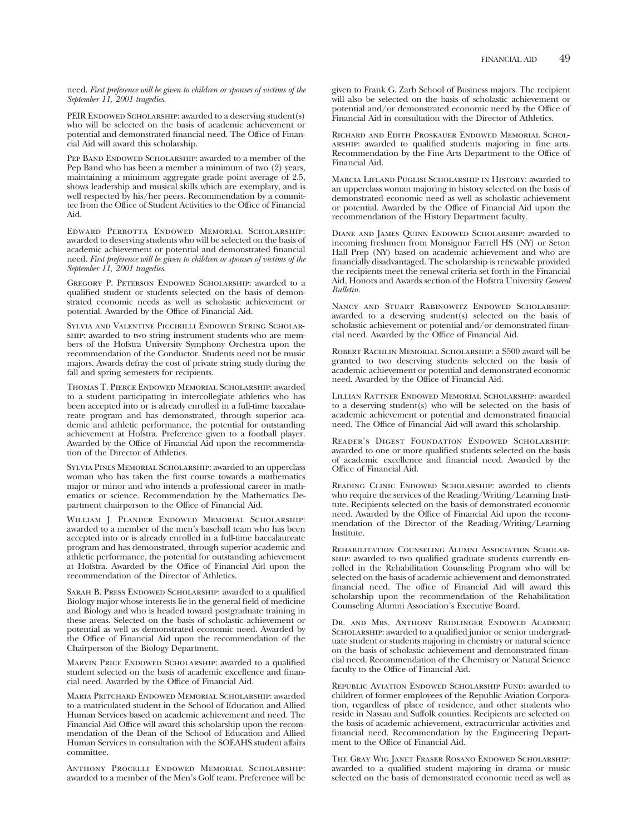need. *First preference will be given to children or spouses of victims of the September 11, 2001 tragedies.* 

PEIR ENDOWED SCHOLARSHIP: awarded to a deserving student(s) who will be selected on the basis of academic achievement or potential and demonstrated financial need. The Office of Financial Aid will award this scholarship.

PEP BAND ENDOWED SCHOLARSHIP: awarded to a member of the Pep Band who has been a member a minimum of two (2) years, maintaining a minimum aggregate grade point average of 2.5, shows leadership and musical skills which are exemplary, and is well respected by his/her peers. Recommendation by a committee from the Office of Student Activities to the Office of Financial Aid.

Edward Perrotta Endowed Memorial Scholarship: awarded to deserving students who will be selected on the basis of academic achievement or potential and demonstrated fnancial need. *First preference will be given to children or spouses of victims of the September 11, 2001 tragedies.* 

Gregory P. Peterson Endowed Scholarship: awarded to a qualifed student or students selected on the basis of demonstrated economic needs as well as scholastic achievement or potential. Awarded by the Office of Financial Aid.

Sylvia and Valentine Piccirilli Endowed String Scholarship: awarded to two string instrument students who are members of the Hofstra University Symphony Orchestra upon the recommendation of the Conductor. Students need not be music majors. Awards defray the cost of private string study during the fall and spring semesters for recipients.

Thomas T. Pierce Endowed Memorial Scholarship: awarded to a student participating in intercollegiate athletics who has been accepted into or is already enrolled in a full-time baccalaureate program and has demonstrated, through superior academic and athletic performance, the potential for outstanding achievement at Hofstra. Preference given to a football player. Awarded by the Office of Financial Aid upon the recommendation of the Director of Athletics.

Sylvia Pines Memorial Scholarship: awarded to an upperclass woman who has taken the frst course towards a mathematics major or minor and who intends a professional career in mathematics or science. Recommendation by the Mathematics Department chairperson to the Office of Financial Aid.

WILLIAM J. PLANDER ENDOWED MEMORIAL SCHOLARSHIP: awarded to a member of the men's baseball team who has been accepted into or is already enrolled in a full-time baccalaureate program and has demonstrated, through superior academic and athletic performance, the potential for outstanding achievement at Hofstra. Awarded by the Offce of Financial Aid upon the recommendation of the Director of Athletics.

SARAH B. PRESS ENDOWED SCHOLARSHIP: awarded to a qualified Biology major whose interests lie in the general feld of medicine and Biology and who is headed toward postgraduate training in these areas. Selected on the basis of scholastic achievement or potential as well as demonstrated economic need. Awarded by the Office of Financial Aid upon the recommendation of the Chairperson of the Biology Department.

MARVIN PRICE ENDOWED SCHOLARSHIP: awarded to a qualified student selected on the basis of academic excellence and fnancial need. Awarded by the Office of Financial Aid.

Maria Pritchard Endowed Memorial Scholarship: awarded to a matriculated student in the School of Education and Allied Human Services based on academic achievement and need. The Financial Aid Office will award this scholarship upon the recommendation of the Dean of the School of Education and Allied Human Services in consultation with the SOEAHS student affairs committee.

Anthony Procelli Endowed Memorial Scholarship: awarded to a member of the Men's Golf team. Preference will be

given to Frank G. Zarb School of Business majors. The recipient will also be selected on the basis of scholastic achievement or potential and/or demonstrated economic need by the Office of Financial Aid in consultation with the Director of Athletics.

Richard and Edith Proskauer Endowed Memorial Scholarship: awarded to qualifed students majoring in fne arts. Recommendation by the Fine Arts Department to the Office of Financial Aid.

Marcia Lifland Puglisi Scholarship in History: awarded to an upperclass woman majoring in history selected on the basis of demonstrated economic need as well as scholastic achievement or potential. Awarded by the Offce of Financial Aid upon the recommendation of the History Department faculty.

Diane and James Quinn Endowed Scholarship: awarded to incoming freshmen from Monsignor Farrell HS (NY) or Seton Hall Prep (NY) based on academic achievement and who are fnancially disadvantaged. The scholarship is renewable provided the recipients meet the renewal criteria set forth in the Financial Aid, Honors and Awards section of the Hofstra University *General Bulletin.* 

Nancy and Stuart Rabinowitz Endowed Scholarship: awarded to a deserving student(s) selected on the basis of scholastic achievement or potential and/or demonstrated fnancial need. Awarded by the Offce of Financial Aid.

Robert Rachlin Memorial Scholarship: a \$500 award will be granted to two deserving students selected on the basis of academic achievement or potential and demonstrated economic need. Awarded by the Office of Financial Aid.

Lillian Rattner Endowed Memorial Scholarship: awarded to a deserving student(s) who will be selected on the basis of academic achievement or potential and demonstrated fnancial need. The Office of Financial Aid will award this scholarship.

Reader's Digest Foundation Endowed Scholarship: awarded to one or more qualifed students selected on the basis of academic excellence and fnancial need. Awarded by the Office of Financial Aid.

Reading Clinic Endowed Scholarship: awarded to clients who require the services of the Reading/Writing/Learning Institute. Recipients selected on the basis of demonstrated economic need. Awarded by the Office of Financial Aid upon the recommendation of the Director of the Reading/Writing/Learning Institute.

Rehabilitation Counseling Alumni Association Scholarship: awarded to two qualifed graduate students currently enrolled in the Rehabilitation Counseling Program who will be selected on the basis of academic achievement and demonstrated fnancial need. The offce of Financial Aid will award this scholarship upon the recommendation of the Rehabilitation Counseling Alumni Association's Executive Board.

Dr. and Mrs. Anthony Reidlinger Endowed Academic SCHOLARSHIP: awarded to a qualified junior or senior undergraduate student or students majoring in chemistry or natural science on the basis of scholastic achievement and demonstrated fnancial need. Recommendation of the Chemistry or Natural Science faculty to the Office of Financial Aid.

Republic Aviation Endowed Scholarship Fund: awarded to children of former employees of the Republic Aviation Corporation, regardless of place of residence, and other students who reside in Nassau and Suffolk counties. Recipients are selected on the basis of academic achievement, extracurricular activities and fnancial need. Recommendation by the Engineering Department to the Office of Financial Aid.

The Gray Wig Janet Fraser Rosano Endowed Scholarship: awarded to a qualifed student majoring in drama or music selected on the basis of demonstrated economic need as well as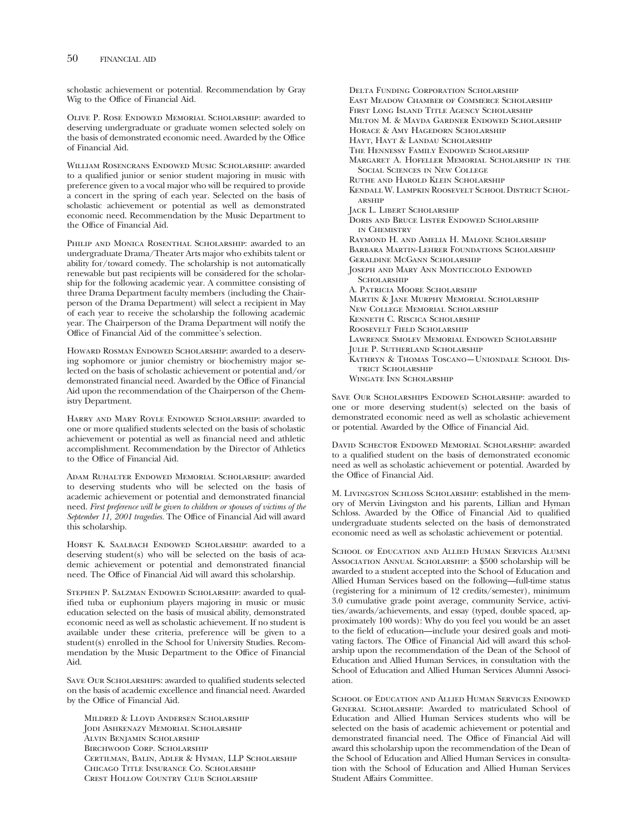scholastic achievement or potential. Recommendation by Gray Wig to the Office of Financial Aid.

Olive P. Rose Endowed Memorial Scholarship: awarded to deserving undergraduate or graduate women selected solely on the basis of demonstrated economic need. Awarded by the Office of Financial Aid.

William Rosencrans Endowed Music Scholarship: awarded to a qualifed junior or senior student majoring in music with preference given to a vocal major who will be required to provide a concert in the spring of each year. Selected on the basis of scholastic achievement or potential as well as demonstrated economic need. Recommendation by the Music Department to the Office of Financial Aid.

Philip and Monica Rosenthal Scholarship: awarded to an undergraduate Drama/Theater Arts major who exhibits talent or ability for/toward comedy. The scholarship is not automatically renewable but past recipients will be considered for the scholarship for the following academic year. A committee consisting of three Drama Department faculty members (including the Chairperson of the Drama Department) will select a recipient in May of each year to receive the scholarship the following academic year. The Chairperson of the Drama Department will notify the Offce of Financial Aid of the committee's selection.

HOWARD ROSMAN ENDOWED SCHOLARSHIP: awarded to a deserving sophomore or junior chemistry or biochemistry major selected on the basis of scholastic achievement or potential and/or demonstrated financial need. Awarded by the Office of Financial Aid upon the recommendation of the Chairperson of the Chemistry Department.

Harry and Mary Royle Endowed Scholarship: awarded to one or more qualifed students selected on the basis of scholastic achievement or potential as well as fnancial need and athletic accomplishment. Recommendation by the Director of Athletics to the Office of Financial Aid.

Adam Ruhalter Endowed Memorial Scholarship: awarded to deserving students who will be selected on the basis of academic achievement or potential and demonstrated fnancial need. *First preference will be given to children or spouses of victims of the*  September 11, 2001 tragedies. The Office of Financial Aid will award this scholarship.

HORST K. SAALBACH ENDOWED SCHOLARSHIP: awarded to a deserving student(s) who will be selected on the basis of academic achievement or potential and demonstrated fnancial need. The Office of Financial Aid will award this scholarship.

Stephen P. Salzman Endowed Scholarship: awarded to qualifed tuba or euphonium players majoring in music or music education selected on the basis of musical ability, demonstrated economic need as well as scholastic achievement. If no student is available under these criteria, preference will be given to a student(s) enrolled in the School for University Studies. Recommendation by the Music Department to the Office of Financial Aid.

Save Our Scholarships: awarded to qualifed students selected on the basis of academic excellence and fnancial need. Awarded by the Office of Financial Aid.

Mildred & Lloyd Andersen Scholarship JODI ASHKENAZY MEMORIAL SCHOLARSHIP Alvin Benjamin Scholarship Birchwood Corp. Scholarship Certilman, Balin, Adler & Hyman, LLP Scholarship Chicago Title Insurance Co. Scholarship Crest Hollow Country Club Scholarship

Delta Funding Corporation Scholarship East Meadow Chamber of Commerce Scholarship First Long Island Title Agency Scholarship Milton M. & Mayda Gardner Endowed Scholarship HORACE & AMY HAGEDORN SCHOLARSHIP Hayt, Hayt & Landau Scholarship The Hennessy Family Endowed Scholarship Margaret A. Hofeller Memorial Scholarship in the Social Sciences in New College Ruthe and Harold Klein Scholarship Kendall W. Lampkin Roosevelt School District Scholarship Jack L. Libert Scholarship Doris and Bruce Lister Endowed Scholarship in Chemistry Raymond H. and Amelia H. Malone Scholarship Barbara Martin-Lehrer Foundations Scholarship Geraldine McGann Scholarship Joseph and Mary Ann Monticciolo Endowed SCHOLARSHIP A. Patricia Moore Scholarship Martin & Jane Murphy Memorial Scholarship New College Memorial Scholarship Kenneth C. Riscica Scholarship Roosevelt Field Scholarship Lawrence Smolev Memorial Endowed Scholarship Julie P. Sutherland Scholarship Kathryn & Thomas Toscano—Uniondale School District Scholarship Wingate Inn Scholarship

Save Our Scholarships Endowed Scholarship: awarded to one or more deserving student(s) selected on the basis of demonstrated economic need as well as scholastic achievement or potential. Awarded by the Office of Financial Aid.

David Schector Endowed Memorial Scholarship: awarded to a qualifed student on the basis of demonstrated economic need as well as scholastic achievement or potential. Awarded by the Office of Financial Aid.

M. Livingston Schloss Scholarship: established in the memory of Mervin Livingston and his parents, Lillian and Hyman Schloss. Awarded by the Office of Financial Aid to qualified undergraduate students selected on the basis of demonstrated economic need as well as scholastic achievement or potential.

School of Education and Allied Human Services Alumni Association Annual Scholarship: a \$500 scholarship will be awarded to a student accepted into the School of Education and Allied Human Services based on the following—full-time status (registering for a minimum of 12 credits/semester), minimum 3.0 cumulative grade point average, community Service, activities/awards/achievements, and essay (typed, double spaced, approximately 100 words): Why do you feel you would be an asset to the feld of education—include your desired goals and motivating factors. The Office of Financial Aid will award this scholarship upon the recommendation of the Dean of the School of Education and Allied Human Services, in consultation with the School of Education and Allied Human Services Alumni Association.

School of Education and Allied Human Services Endowed General Scholarship: Awarded to matriculated School of Education and Allied Human Services students who will be selected on the basis of academic achievement or potential and demonstrated financial need. The Office of Financial Aid will award this scholarship upon the recommendation of the Dean of the School of Education and Allied Human Services in consultation with the School of Education and Allied Human Services Student Affairs Committee.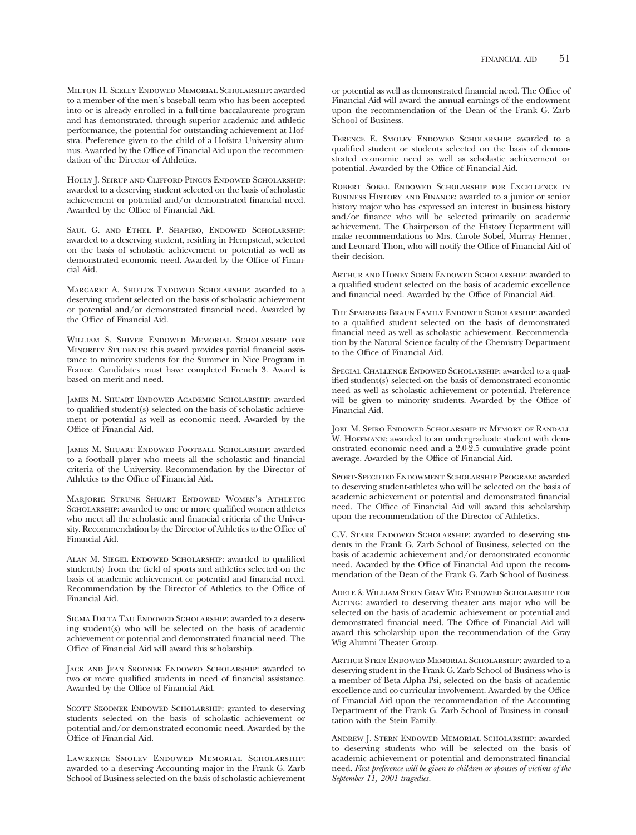Milton H. Seeley Endowed Memorial Scholarship: awarded to a member of the men's baseball team who has been accepted into or is already enrolled in a full-time baccalaureate program and has demonstrated, through superior academic and athletic performance, the potential for outstanding achievement at Hofstra. Preference given to the child of a Hofstra University alumnus. Awarded by the Office of Financial Aid upon the recommendation of the Director of Athletics.

HOLLY J. SEIRUP AND CLIFFORD PINCUS ENDOWED SCHOLARSHIP: awarded to a deserving student selected on the basis of scholastic achievement or potential and/or demonstrated fnancial need. Awarded by the Office of Financial Aid.

Saul G. and Ethel P. Shapiro, Endowed Scholarship: awarded to a deserving student, residing in Hempstead, selected on the basis of scholastic achievement or potential as well as demonstrated economic need. Awarded by the Office of Financial Aid.

Margaret A. Shields Endowed Scholarship: awarded to a deserving student selected on the basis of scholastic achievement or potential and/or demonstrated fnancial need. Awarded by the Office of Financial Aid.

William S. Shiver Endowed Memorial Scholarship for MINORITY STUDENTS: this award provides partial financial assistance to minority students for the Summer in Nice Program in France. Candidates must have completed French 3. Award is based on merit and need.

James M. Shuart Endowed Academic Scholarship: awarded to qualifed student(s) selected on the basis of scholastic achievement or potential as well as economic need. Awarded by the Office of Financial Aid.

James M. Shuart Endowed Football Scholarship: awarded to a football player who meets all the scholastic and fnancial criteria of the University. Recommendation by the Director of Athletics to the Office of Financial Aid.

Marjorie Strunk Shuart Endowed Women's Athletic SCHOLARSHIP: awarded to one or more qualified women athletes who meet all the scholastic and fnancial critieria of the University. Recommendation by the Director of Athletics to the Office of Financial Aid.

ALAN M. SIEGEL ENDOWED SCHOLARSHIP: awarded to qualified student(s) from the feld of sports and athletics selected on the basis of academic achievement or potential and fnancial need. Recommendation by the Director of Athletics to the Office of Financial Aid.

SIGMA DELTA TAU ENDOWED SCHOLARSHIP: awarded to a deserving student(s) who will be selected on the basis of academic achievement or potential and demonstrated fnancial need. The Office of Financial Aid will award this scholarship.

Jack and Jean Skodnek Endowed Scholarship: awarded to two or more qualifed students in need of fnancial assistance. Awarded by the Offce of Financial Aid.

SCOTT SKODNEK ENDOWED SCHOLARSHIP: granted to deserving students selected on the basis of scholastic achievement or potential and/or demonstrated economic need. Awarded by the Offce of Financial Aid.

Lawrence Smolev Endowed Memorial Scholarship: awarded to a deserving Accounting major in the Frank G. Zarb School of Business selected on the basis of scholastic achievement or potential as well as demonstrated financial need. The Office of Financial Aid will award the annual earnings of the endowment upon the recommendation of the Dean of the Frank G. Zarb School of Business.

Terence E. Smolev Endowed Scholarship: awarded to a qualifed student or students selected on the basis of demonstrated economic need as well as scholastic achievement or potential. Awarded by the Office of Financial Aid.

Robert Sobel Endowed Scholarship for Excellence in Business History and Finance: awarded to a junior or senior history major who has expressed an interest in business history and/or fnance who will be selected primarily on academic achievement. The Chairperson of the History Department will make recommendations to Mrs. Carole Sobel, Murray Henner, and Leonard Thon, who will notify the Office of Financial Aid of their decision.

Arthur and Honey Sorin Endowed Scholarship: awarded to a qualifed student selected on the basis of academic excellence and financial need. Awarded by the Office of Financial Aid.

The Sparberg-Braun Family Endowed Scholarship: awarded to a qualifed student selected on the basis of demonstrated fnancial need as well as scholastic achievement. Recommendation by the Natural Science faculty of the Chemistry Department to the Office of Financial Aid.

Special Challenge Endowed Scholarship: awarded to a qualifed student(s) selected on the basis of demonstrated economic need as well as scholastic achievement or potential. Preference will be given to minority students. Awarded by the Office of Financial Aid.

Joel M. Spiro Endowed Scholarship in Memory of Randall W. HOFFMANN: awarded to an undergraduate student with demonstrated economic need and a 2.0-2.5 cumulative grade point average. Awarded by the Office of Financial Aid.

Sport-Specified Endowment Scholarship Program: awarded to deserving student-athletes who will be selected on the basis of academic achievement or potential and demonstrated fnancial need. The Office of Financial Aid will award this scholarship upon the recommendation of the Director of Athletics.

C.V. STARR ENDOWED SCHOLARSHIP: awarded to deserving students in the Frank G. Zarb School of Business, selected on the basis of academic achievement and/or demonstrated economic need. Awarded by the Office of Financial Aid upon the recommendation of the Dean of the Frank G. Zarb School of Business.

Adele & William Stein Gray Wig Endowed Scholarship for ACTING: awarded to deserving theater arts major who will be selected on the basis of academic achievement or potential and demonstrated financial need. The Office of Financial Aid will award this scholarship upon the recommendation of the Gray Wig Alumni Theater Group.

Arthur Stein Endowed Memorial Scholarship: awarded to a deserving student in the Frank G. Zarb School of Business who is a member of Beta Alpha Psi, selected on the basis of academic excellence and co-curricular involvement. Awarded by the Office of Financial Aid upon the recommendation of the Accounting Department of the Frank G. Zarb School of Business in consultation with the Stein Family.

Andrew J. Stern Endowed Memorial Scholarship: awarded to deserving students who will be selected on the basis of academic achievement or potential and demonstrated fnancial need. *First preference will be given to children or spouses of victims of the September 11, 2001 tragedies.*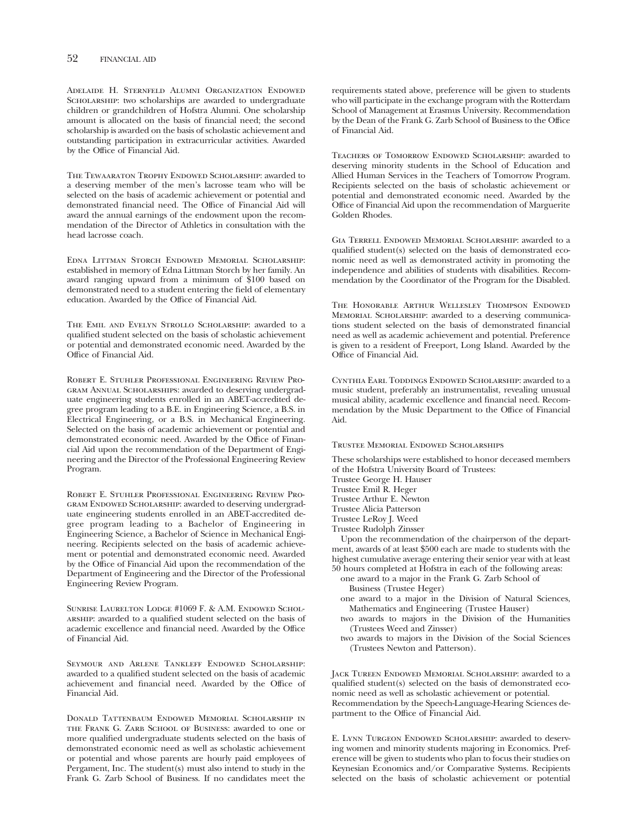Adelaide H. Sternfeld Alumni Organization Endowed SCHOLARSHIP: two scholarships are awarded to undergraduate children or grandchildren of Hofstra Alumni. One scholarship amount is allocated on the basis of fnancial need; the second scholarship is awarded on the basis of scholastic achievement and outstanding participation in extracurricular activities. Awarded by the Office of Financial Aid.

The Tewaaraton Trophy Endowed Scholarship: awarded to a deserving member of the men's lacrosse team who will be selected on the basis of academic achievement or potential and demonstrated financial need. The Office of Financial Aid will award the annual earnings of the endowment upon the recommendation of the Director of Athletics in consultation with the head lacrosse coach.

Edna Littman Storch Endowed Memorial Scholarship: established in memory of Edna Littman Storch by her family. An award ranging upward from a minimum of \$100 based on demonstrated need to a student entering the feld of elementary education. Awarded by the Office of Financial Aid.

The Emil and Evelyn Strollo Scholarship: awarded to a qualifed student selected on the basis of scholastic achievement or potential and demonstrated economic need. Awarded by the Office of Financial Aid.

Robert E. Stuhler Professional Engineering Review Program Annual Scholarships: awarded to deserving undergraduate engineering students enrolled in an ABET-accredited degree program leading to a B.E. in Engineering Science, a B.S. in Electrical Engineering, or a B.S. in Mechanical Engineering. Selected on the basis of academic achievement or potential and demonstrated economic need. Awarded by the Office of Financial Aid upon the recommendation of the Department of Engineering and the Director of the Professional Engineering Review Program.

Robert E. Stuhler Professional Engineering Review Pro-GRAM ENDOWED SCHOLARSHIP: awarded to deserving undergraduate engineering students enrolled in an ABET-accredited degree program leading to a Bachelor of Engineering in Engineering Science, a Bachelor of Science in Mechanical Engineering. Recipients selected on the basis of academic achievement or potential and demonstrated economic need. Awarded by the Office of Financial Aid upon the recommendation of the Department of Engineering and the Director of the Professional Engineering Review Program.

Sunrise Laurelton Lodge #1069 F. & A.M. Endowed Scholarship: awarded to a qualifed student selected on the basis of academic excellence and financial need. Awarded by the Office of Financial Aid.

Seymour and Arlene Tankleff Endowed Scholarship: awarded to a qualifed student selected on the basis of academic achievement and financial need. Awarded by the Office of Financial Aid.

Donald Tattenbaum Endowed Memorial Scholarship in the Frank G. Zarb School of Business: awarded to one or more qualifed undergraduate students selected on the basis of demonstrated economic need as well as scholastic achievement or potential and whose parents are hourly paid employees of Pergament, Inc. The student(s) must also intend to study in the Frank G. Zarb School of Business. If no candidates meet the

requirements stated above, preference will be given to students who will participate in the exchange program with the Rotterdam School of Management at Erasmus University. Recommendation by the Dean of the Frank G. Zarb School of Business to the Office of Financial Aid.

Teachers of Tomorrow Endowed Scholarship: awarded to deserving minority students in the School of Education and Allied Human Services in the Teachers of Tomorrow Program. Recipients selected on the basis of scholastic achievement or potential and demonstrated economic need. Awarded by the Office of Financial Aid upon the recommendation of Marguerite Golden Rhodes.

Gia Terrell Endowed Memorial Scholarship: awarded to a qualifed student(s) selected on the basis of demonstrated economic need as well as demonstrated activity in promoting the independence and abilities of students with disabilities. Recommendation by the Coordinator of the Program for the Disabled.

The Honorable Arthur Wellesley Thompson Endowed Memorial Scholarship: awarded to a deserving communications student selected on the basis of demonstrated fnancial need as well as academic achievement and potential. Preference is given to a resident of Freeport, Long Island. Awarded by the Office of Financial Aid.

Cynthia Earl Toddings Endowed Scholarship: awarded to a music student, preferably an instrumentalist, revealing unusual musical ability, academic excellence and fnancial need. Recommendation by the Music Department to the Office of Financial Aid.

#### Trustee Memorial Endowed Scholarships

These scholarships were established to honor deceased members of the Hofstra University Board of Trustees:

Trustee George H. Hauser

Trustee Emil R. Heger

Trustee Arthur E. Newton

Trustee Alicia Patterson

- Trustee LeRoy J. Weed
- Trustee Rudolph Zinsser

Upon the recommendation of the chairperson of the department, awards of at least \$500 each are made to students with the highest cumulative average entering their senior year with at least 50 hours completed at Hofstra in each of the following areas:

- one award to a major in the Frank G. Zarb School of Business (Trustee Heger)
- one award to a major in the Division of Natural Sciences, Mathematics and Engineering (Trustee Hauser)
- two awards to majors in the Division of the Humanities (Trustees Weed and Zinsser)
- two awards to majors in the Division of the Social Sciences (Trustees Newton and Patterson).

Jack Tureen Endowed Memorial Scholarship: awarded to a qualifed student(s) selected on the basis of demonstrated economic need as well as scholastic achievement or potential. Recommendation by the Speech-Language-Hearing Sciences department to the Office of Financial Aid.

E. LYNN TURGEON ENDOWED SCHOLARSHIP: awarded to deserving women and minority students majoring in Economics. Preference will be given to students who plan to focus their studies on Keynesian Economics and/or Comparative Systems. Recipients selected on the basis of scholastic achievement or potential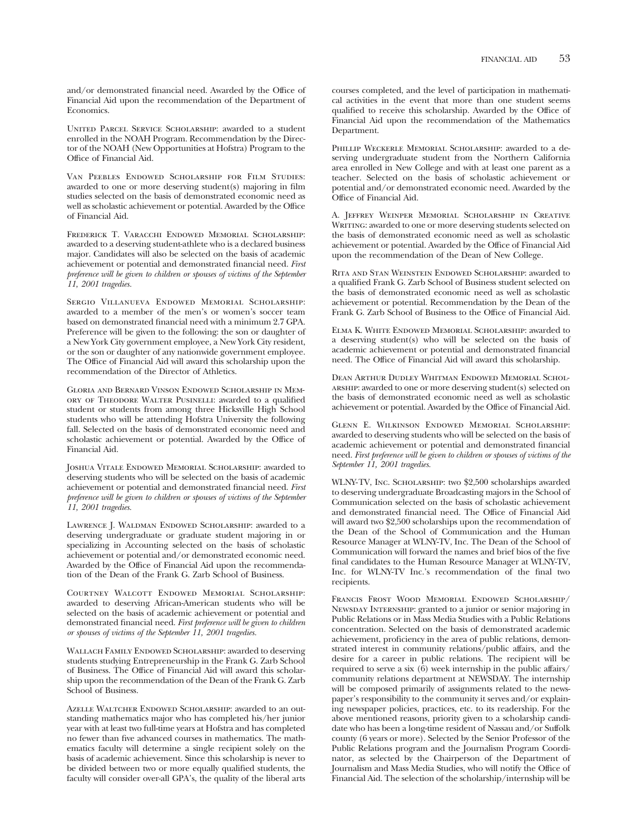and/or demonstrated financial need. Awarded by the Office of Financial Aid upon the recommendation of the Department of Economics.

UNITED PARCEL SERVICE SCHOLARSHIP: awarded to a student enrolled in the NOAH Program. Recommendation by the Director of the NOAH (New Opportunities at Hofstra) Program to the Office of Financial Aid.

Van Peebles Endowed Scholarship for Film Studies: awarded to one or more deserving student(s) majoring in flm studies selected on the basis of demonstrated economic need as well as scholastic achievement or potential. Awarded by the Office of Financial Aid.

Frederick T. Varacchi Endowed Memorial Scholarship: awarded to a deserving student-athlete who is a declared business major. Candidates will also be selected on the basis of academic achievement or potential and demonstrated fnancial need. *First preference will be given to children or spouses of victims of the September 11, 2001 tragedies.* 

Sergio Villanueva Endowed Memorial Scholarship: awarded to a member of the men's or women's soccer team based on demonstrated fnancial need with a minimum 2.7 GPA. Preference will be given to the following: the son or daughter of a New York City government employee, a New York City resident, or the son or daughter of any nationwide government employee. The Office of Financial Aid will award this scholarship upon the recommendation of the Director of Athletics.

Gloria and Bernard Vinson Endowed Scholarship in Memory of Theodore Walter Pusinelli: awarded to a qualifed student or students from among three Hicksville High School students who will be attending Hofstra University the following fall. Selected on the basis of demonstrated economic need and scholastic achievement or potential. Awarded by the Office of Financial Aid.

Joshua Vitale Endowed Memorial Scholarship: awarded to deserving students who will be selected on the basis of academic achievement or potential and demonstrated fnancial need. *First preference will be given to children or spouses of victims of the September 11, 2001 tragedies.* 

Lawrence J. Waldman Endowed Scholarship: awarded to a deserving undergraduate or graduate student majoring in or specializing in Accounting selected on the basis of scholastic achievement or potential and/or demonstrated economic need. Awarded by the Office of Financial Aid upon the recommendation of the Dean of the Frank G. Zarb School of Business.

Courtney Walcott Endowed Memorial Scholarship: awarded to deserving African-American students who will be selected on the basis of academic achievement or potential and demonstrated fnancial need. *First preference will be given to children or spouses of victims of the September 11, 2001 tragedies.* 

WALLACH FAMILY ENDOWED SCHOLARSHIP: awarded to deserving students studying Entrepreneurship in the Frank G. Zarb School of Business. The Offce of Financial Aid will award this scholarship upon the recommendation of the Dean of the Frank G. Zarb School of Business.

Azelle Waltcher Endowed Scholarship: awarded to an outstanding mathematics major who has completed his/her junior year with at least two full-time years at Hofstra and has completed no fewer than fve advanced courses in mathematics. The mathematics faculty will determine a single recipient solely on the basis of academic achievement. Since this scholarship is never to be divided between two or more equally qualifed students, the faculty will consider over-all GPA's, the quality of the liberal arts

courses completed, and the level of participation in mathematical activities in the event that more than one student seems qualified to receive this scholarship. Awarded by the Office of Financial Aid upon the recommendation of the Mathematics Department.

Phillip Weckerle Memorial Scholarship: awarded to a deserving undergraduate student from the Northern California area enrolled in New College and with at least one parent as a teacher. Selected on the basis of scholastic achievement or potential and/or demonstrated economic need. Awarded by the Office of Financial Aid.

A. Jeffrey Weinper Memorial Scholarship in Creative WRITING: awarded to one or more deserving students selected on the basis of demonstrated economic need as well as scholastic achievement or potential. Awarded by the Offce of Financial Aid upon the recommendation of the Dean of New College.

Rita and Stan Weinstein Endowed Scholarship: awarded to a qualifed Frank G. Zarb School of Business student selected on the basis of demonstrated economic need as well as scholastic achievement or potential. Recommendation by the Dean of the Frank G. Zarb School of Business to the Office of Financial Aid.

Elma K. White Endowed Memorial Scholarship: awarded to a deserving student(s) who will be selected on the basis of academic achievement or potential and demonstrated fnancial need. The Office of Financial Aid will award this scholarship.

Dean Arthur Dudley Whitman Endowed Memorial Scholarship: awarded to one or more deserving student(s) selected on the basis of demonstrated economic need as well as scholastic achievement or potential. Awarded by the Offce of Financial Aid.

Glenn E. Wilkinson Endowed Memorial Scholarship: awarded to deserving students who will be selected on the basis of academic achievement or potential and demonstrated fnancial need. *First preference will be given to children or spouses of victims of the September 11, 2001 tragedies.* 

WLNY-TV, Inc. Scholarship: two \$2,500 scholarships awarded to deserving undergraduate Broadcasting majors in the School of Communication selected on the basis of scholastic achievement and demonstrated financial need. The Office of Financial Aid will award two \$2,500 scholarships upon the recommendation of the Dean of the School of Communication and the Human Resource Manager at WLNY-TV, Inc. The Dean of the School of Communication will forward the names and brief bios of the fve fnal candidates to the Human Resource Manager at WLNY-TV, Inc. for WLNY-TV Inc.'s recommendation of the fnal two recipients.

Francis Frost Wood Memorial Endowed Scholarship/ NEWSDAY INTERNSHIP: granted to a junior or senior majoring in Public Relations or in Mass Media Studies with a Public Relations concentration. Selected on the basis of demonstrated academic achievement, proficiency in the area of public relations, demonstrated interest in community relations/public affairs, and the desire for a career in public relations. The recipient will be required to serve a six  $(6)$  week internship in the public affairs/ community relations department at NEWSDAY. The internship will be composed primarily of assignments related to the newspaper's responsibility to the community it serves and/or explaining newspaper policies, practices, etc. to its readership. For the above mentioned reasons, priority given to a scholarship candidate who has been a long-time resident of Nassau and/or Suffolk county (6 years or more). Selected by the Senior Professor of the Public Relations program and the Journalism Program Coordinator, as selected by the Chairperson of the Department of Journalism and Mass Media Studies, who will notify the Office of Financial Aid. The selection of the scholarship/internship will be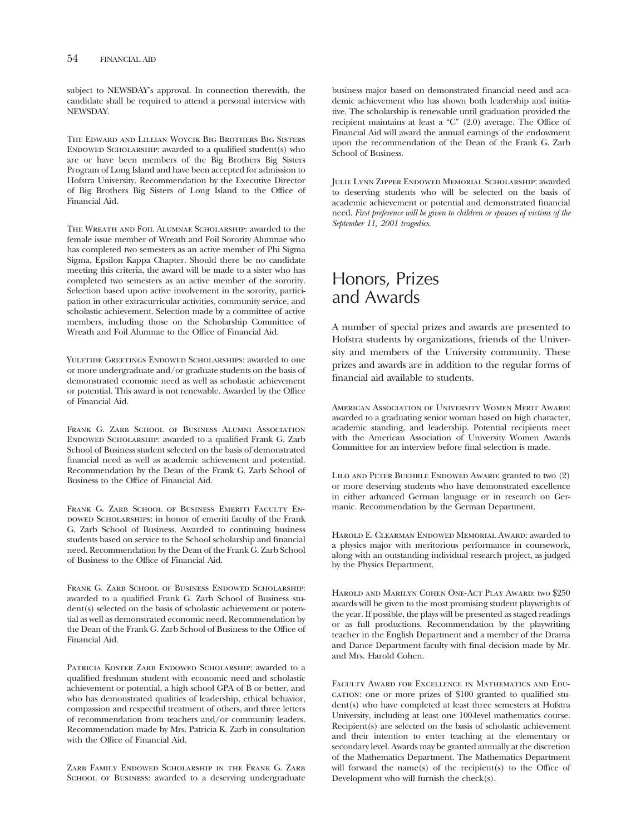subject to NEWSDAY's approval. In connection therewith, the candidate shall be required to attend a personal interview with NEWSDAY.

The Edward and Lillian Woycik Big Brothers Big Sisters ENDOWED SCHOLARSHIP: awarded to a qualified student(s) who are or have been members of the Big Brothers Big Sisters Program of Long Island and have been accepted for admission to Hofstra University. Recommendation by the Executive Director of Big Brothers Big Sisters of Long Island to the Offce of Financial Aid.

The Wreath and Foil Alumnae Scholarship: awarded to the female issue member of Wreath and Foil Sorority Alumnae who has completed two semesters as an active member of Phi Sigma Sigma, Epsilon Kappa Chapter. Should there be no candidate meeting this criteria, the award will be made to a sister who has completed two semesters as an active member of the sorority. Selection based upon active involvement in the sorority, participation in other extracurricular activities, community service, and scholastic achievement. Selection made by a committee of active members, including those on the Scholarship Committee of Wreath and Foil Alumnae to the Offce of Financial Aid.

YULETIDE GREETINGS ENDOWED SCHOLARSHIPS: awarded to one or more undergraduate and/or graduate students on the basis of demonstrated economic need as well as scholastic achievement or potential. This award is not renewable. Awarded by the Office of Financial Aid.

FRANK G. ZARB SCHOOL OF BUSINESS ALUMNI ASSOCIATION Endowed Scholarship: awarded to a qualifed Frank G. Zarb School of Business student selected on the basis of demonstrated fnancial need as well as academic achievement and potential. Recommendation by the Dean of the Frank G. Zarb School of Business to the Office of Financial Aid.

FRANK G. ZARB SCHOOL OF BUSINESS EMERITI FACULTY EN-DOWED SCHOLARSHIPS: in honor of emeriti faculty of the Frank G. Zarb School of Business. Awarded to continuing business students based on service to the School scholarship and fnancial need. Recommendation by the Dean of the Frank G. Zarb School of Business to the Offce of Financial Aid.

FRANK G. ZARB SCHOOL OF BUSINESS ENDOWED SCHOLARSHIP: awarded to a qualifed Frank G. Zarb School of Business student(s) selected on the basis of scholastic achievement or potential as well as demonstrated economic need. Recommendation by the Dean of the Frank G. Zarb School of Business to the Office of Financial Aid.

PATRICIA KOSTER ZARB ENDOWED SCHOLARSHIP: awarded to a qualifed freshman student with economic need and scholastic achievement or potential, a high school GPA of B or better, and who has demonstrated qualities of leadership, ethical behavior, compassion and respectful treatment of others, and three letters of recommendation from teachers and/or community leaders. Recommendation made by Mrs. Patricia K. Zarb in consultation with the Office of Financial Aid.

Zarb Family Endowed Scholarship in the Frank G. Zarb SCHOOL OF BUSINESS: awarded to a deserving undergraduate

business major based on demonstrated fnancial need and academic achievement who has shown both leadership and initiative. The scholarship is renewable until graduation provided the recipient maintains at least a " $C$ " (2.0) average. The Office of Financial Aid will award the annual earnings of the endowment upon the recommendation of the Dean of the Frank G. Zarb School of Business.

Julie Lynn Zipper Endowed Memorial Scholarship: awarded to deserving students who will be selected on the basis of academic achievement or potential and demonstrated fnancial need. *First preference will be given to children or spouses of victims of the September 11, 2001 tragedies.* 

### Honors, Prizes and Awards

A number of special prizes and awards are presented to Hofstra students by organizations, friends of the University and members of the University community. These prizes and awards are in addition to the regular forms of fnancial aid available to students.

American Association of University Women Merit Award: awarded to a graduating senior woman based on high character, academic standing, and leadership. Potential recipients meet with the American Association of University Women Awards Committee for an interview before fnal selection is made.

Lilo and Peter Buehrle Endowed Award: granted to two (2) or more deserving students who have demonstrated excellence in either advanced German language or in research on Germanic. Recommendation by the German Department.

Harold E. Clearman Endowed Memorial Award: awarded to a physics major with meritorious performance in coursework, along with an outstanding individual research project, as judged by the Physics Department.

Harold and Marilyn Cohen One-Act Play Award: two \$250 awards will be given to the most promising student playwrights of the year. If possible, the plays will be presented as staged readings or as full productions. Recommendation by the playwriting teacher in the English Department and a member of the Drama and Dance Department faculty with fnal decision made by Mr. and Mrs. Harold Cohen.

Faculty Award for Excellence in Mathematics and Education: one or more prizes of \$100 granted to qualifed student(s) who have completed at least three semesters at Hofstra University, including at least one 100-level mathematics course. Recipient(s) are selected on the basis of scholastic achievement and their intention to enter teaching at the elementary or secondary level. Awards may be granted annually at the discretion of the Mathematics Department. The Mathematics Department will forward the name(s) of the recipient(s) to the Office of Development who will furnish the check(s).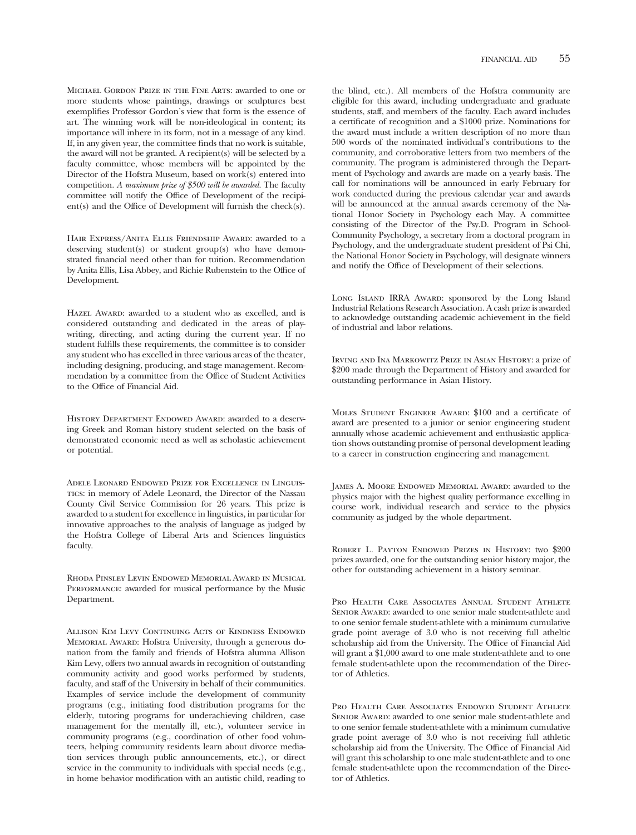Michael Gordon Prize in the Fine Arts: awarded to one or more students whose paintings, drawings or sculptures best exemplifes Professor Gordon's view that form is the essence of art. The winning work will be non-ideological in content; its importance will inhere in its form, not in a message of any kind. If, in any given year, the committee fnds that no work is suitable, the award will not be granted. A recipient(s) will be selected by a faculty committee, whose members will be appointed by the Director of the Hofstra Museum, based on work(s) entered into competition. *A maximum prize of \$500 will be awarded.* The faculty committee will notify the Office of Development of the recipi $ent(s)$  and the Office of Development will furnish the check $(s)$ .

Hair Express/Anita Ellis Friendship Award: awarded to a deserving student(s) or student group(s) who have demonstrated fnancial need other than for tuition. Recommendation by Anita Ellis, Lisa Abbey, and Richie Rubenstein to the Office of Development.

HAZEL AWARD: awarded to a student who as excelled, and is considered outstanding and dedicated in the areas of playwriting, directing, and acting during the current year. If no student fulflls these requirements, the committee is to consider any student who has excelled in three various areas of the theater, including designing, producing, and stage management. Recommendation by a committee from the Office of Student Activities to the Office of Financial Aid.

HISTORY DEPARTMENT ENDOWED AWARD: awarded to a deserving Greek and Roman history student selected on the basis of demonstrated economic need as well as scholastic achievement or potential.

Adele Leonard Endowed Prize for Excellence in Linguistics: in memory of Adele Leonard, the Director of the Nassau County Civil Service Commission for 26 years. This prize is awarded to a student for excellence in linguistics, in particular for innovative approaches to the analysis of language as judged by the Hofstra College of Liberal Arts and Sciences linguistics faculty.

Rhoda Pinsley Levin Endowed Memorial Award in Musical PERFORMANCE: awarded for musical performance by the Music Department.

Allison Kim Levy Continuing Acts of Kindness Endowed Memorial Award: Hofstra University, through a generous donation from the family and friends of Hofstra alumna Allison Kim Levy, offers two annual awards in recognition of outstanding community activity and good works performed by students, faculty, and staff of the University in behalf of their communities. Examples of service include the development of community programs (e.g., initiating food distribution programs for the elderly, tutoring programs for underachieving children, case management for the mentally ill, etc.), volunteer service in community programs (e.g., coordination of other food volunteers, helping community residents learn about divorce mediation services through public announcements, etc.), or direct service in the community to individuals with special needs (e.g., in home behavior modifcation with an autistic child, reading to

the blind, etc.). All members of the Hofstra community are eligible for this award, including undergraduate and graduate students, staff, and members of the faculty. Each award includes a certifcate of recognition and a \$1000 prize. Nominations for the award must include a written description of no more than 500 words of the nominated individual's contributions to the community, and corroborative letters from two members of the community. The program is administered through the Department of Psychology and awards are made on a yearly basis. The call for nominations will be announced in early February for work conducted during the previous calendar year and awards will be announced at the annual awards ceremony of the National Honor Society in Psychology each May. A committee consisting of the Director of the Psy.D. Program in School-Community Psychology, a secretary from a doctoral program in Psychology, and the undergraduate student president of Psi Chi, the National Honor Society in Psychology, will designate winners and notify the Office of Development of their selections.

LONG ISLAND IRRA AWARD: sponsored by the Long Island Industrial Relations Research Association. A cash prize is awarded to acknowledge outstanding academic achievement in the feld of industrial and labor relations.

Irving and Ina Markowitz Prize in Asian History: a prize of \$200 made through the Department of History and awarded for outstanding performance in Asian History.

Moles Student Engineer Award: \$100 and a certifcate of award are presented to a junior or senior engineering student annually whose academic achievement and enthusiastic application shows outstanding promise of personal development leading to a career in construction engineering and management.

James A. Moore Endowed Memorial Award: awarded to the physics major with the highest quality performance excelling in course work, individual research and service to the physics community as judged by the whole department.

ROBERT L. PAYTON ENDOWED PRIZES IN HISTORY: two \$200 prizes awarded, one for the outstanding senior history major, the other for outstanding achievement in a history seminar.

Pro Health Care Associates Annual Student Athlete SENIOR AWARD: awarded to one senior male student-athlete and to one senior female student-athlete with a minimum cumulative grade point average of 3.0 who is not receiving full atheltic scholarship aid from the University. The Office of Financial Aid will grant a \$1,000 award to one male student-athlete and to one female student-athlete upon the recommendation of the Director of Athletics.

Pro Health Care Associates Endowed Student Athlete Senior Award: awarded to one senior male student-athlete and to one senior female student-athlete with a minimum cumulative grade point average of 3.0 who is not receiving full athletic scholarship aid from the University. The Office of Financial Aid will grant this scholarship to one male student-athlete and to one female student-athlete upon the recommendation of the Director of Athletics.